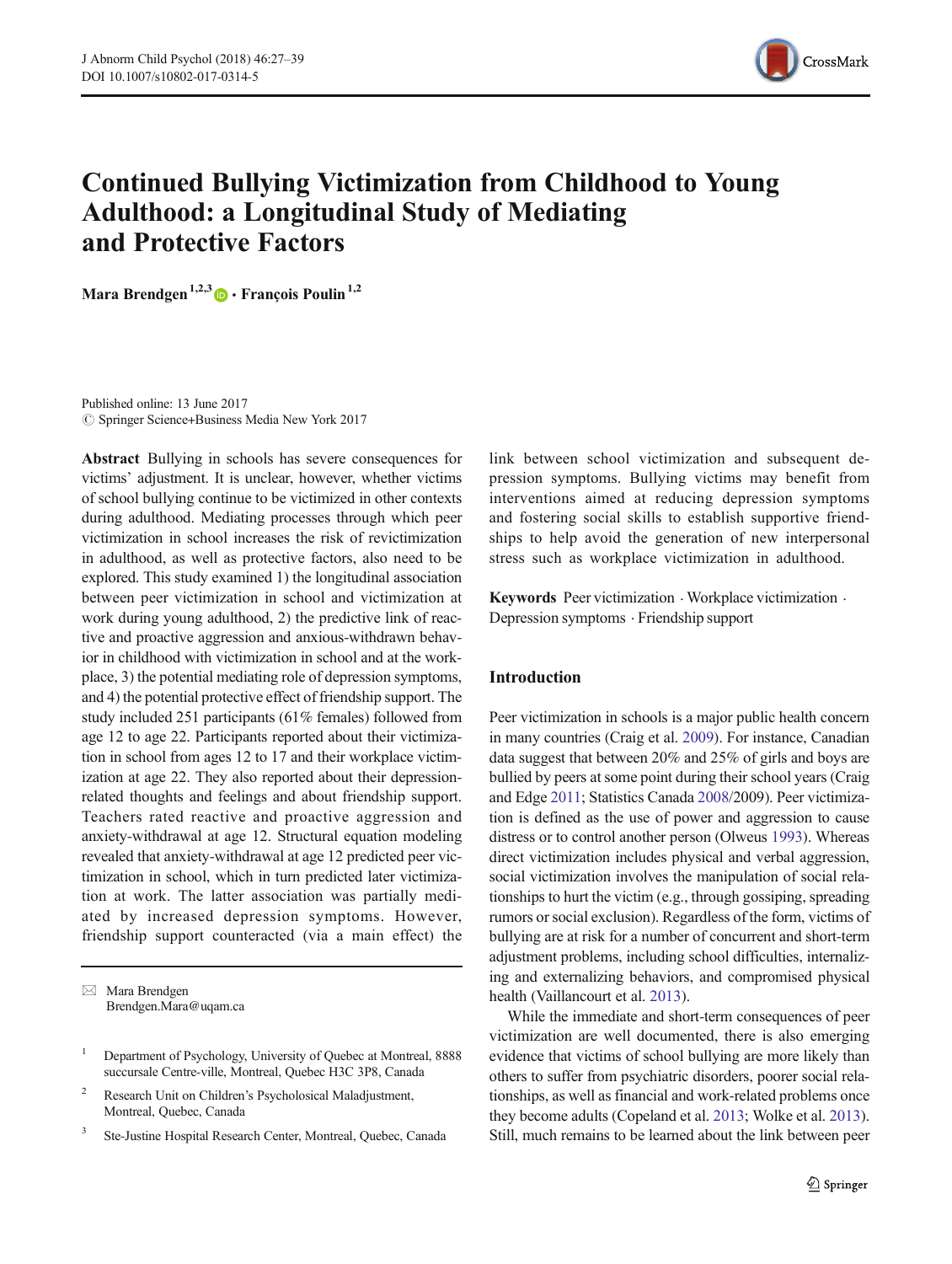

# Continued Bullying Victimization from Childhood to Young Adulthood: a Longitudinal Study of Mediating and Protective Factors

Mara Brendgen<sup>1,2,3</sup>  $\bullet$  François Poulin<sup>1,2</sup>

Published online: 13 June 2017  $\circled{c}$  Springer Science+Business Media New York 2017

Abstract Bullying in schools has severe consequences for victims' adjustment. It is unclear, however, whether victims of school bullying continue to be victimized in other contexts during adulthood. Mediating processes through which peer victimization in school increases the risk of revictimization in adulthood, as well as protective factors, also need to be explored. This study examined 1) the longitudinal association between peer victimization in school and victimization at work during young adulthood, 2) the predictive link of reactive and proactive aggression and anxious-withdrawn behavior in childhood with victimization in school and at the workplace, 3) the potential mediating role of depression symptoms, and 4) the potential protective effect of friendship support. The study included 251 participants (61% females) followed from age 12 to age 22. Participants reported about their victimization in school from ages 12 to 17 and their workplace victimization at age 22. They also reported about their depressionrelated thoughts and feelings and about friendship support. Teachers rated reactive and proactive aggression and anxiety-withdrawal at age 12. Structural equation modeling revealed that anxiety-withdrawal at age 12 predicted peer victimization in school, which in turn predicted later victimization at work. The latter association was partially mediated by increased depression symptoms. However, friendship support counteracted (via a main effect) the

 $\boxtimes$  Mara Brendgen Brendgen.Mara@uqam.ca

- <sup>2</sup> Research Unit on Children's Psycholosical Maladjustment, Montreal, Quebec, Canada
- <sup>3</sup> Ste-Justine Hospital Research Center, Montreal, Quebec, Canada

link between school victimization and subsequent depression symptoms. Bullying victims may benefit from interventions aimed at reducing depression symptoms and fostering social skills to establish supportive friendships to help avoid the generation of new interpersonal stress such as workplace victimization in adulthood.

Keywords Peer victimization  $\cdot$  Workplace victimization  $\cdot$ Depression symptoms . Friendship support

# Introduction

Peer victimization in schools is a major public health concern in many countries (Craig et al. [2009\)](#page-10-0). For instance, Canadian data suggest that between 20% and 25% of girls and boys are bullied by peers at some point during their school years (Craig and Edge [2011;](#page-10-0) Statistics Canada [2008](#page-12-0)/2009). Peer victimization is defined as the use of power and aggression to cause distress or to control another person (Olweus [1993](#page-11-0)). Whereas direct victimization includes physical and verbal aggression, social victimization involves the manipulation of social relationships to hurt the victim (e.g., through gossiping, spreading rumors or social exclusion). Regardless of the form, victims of bullying are at risk for a number of concurrent and short-term adjustment problems, including school difficulties, internalizing and externalizing behaviors, and compromised physical health (Vaillancourt et al. [2013](#page-12-0)).

While the immediate and short-term consequences of peer victimization are well documented, there is also emerging evidence that victims of school bullying are more likely than others to suffer from psychiatric disorders, poorer social relationships, as well as financial and work-related problems once they become adults (Copeland et al. [2013;](#page-10-0) Wolke et al. [2013\)](#page-12-0). Still, much remains to be learned about the link between peer

<sup>&</sup>lt;sup>1</sup> Department of Psychology, University of Quebec at Montreal, 8888 succursale Centre-ville, Montreal, Quebec H3C 3P8, Canada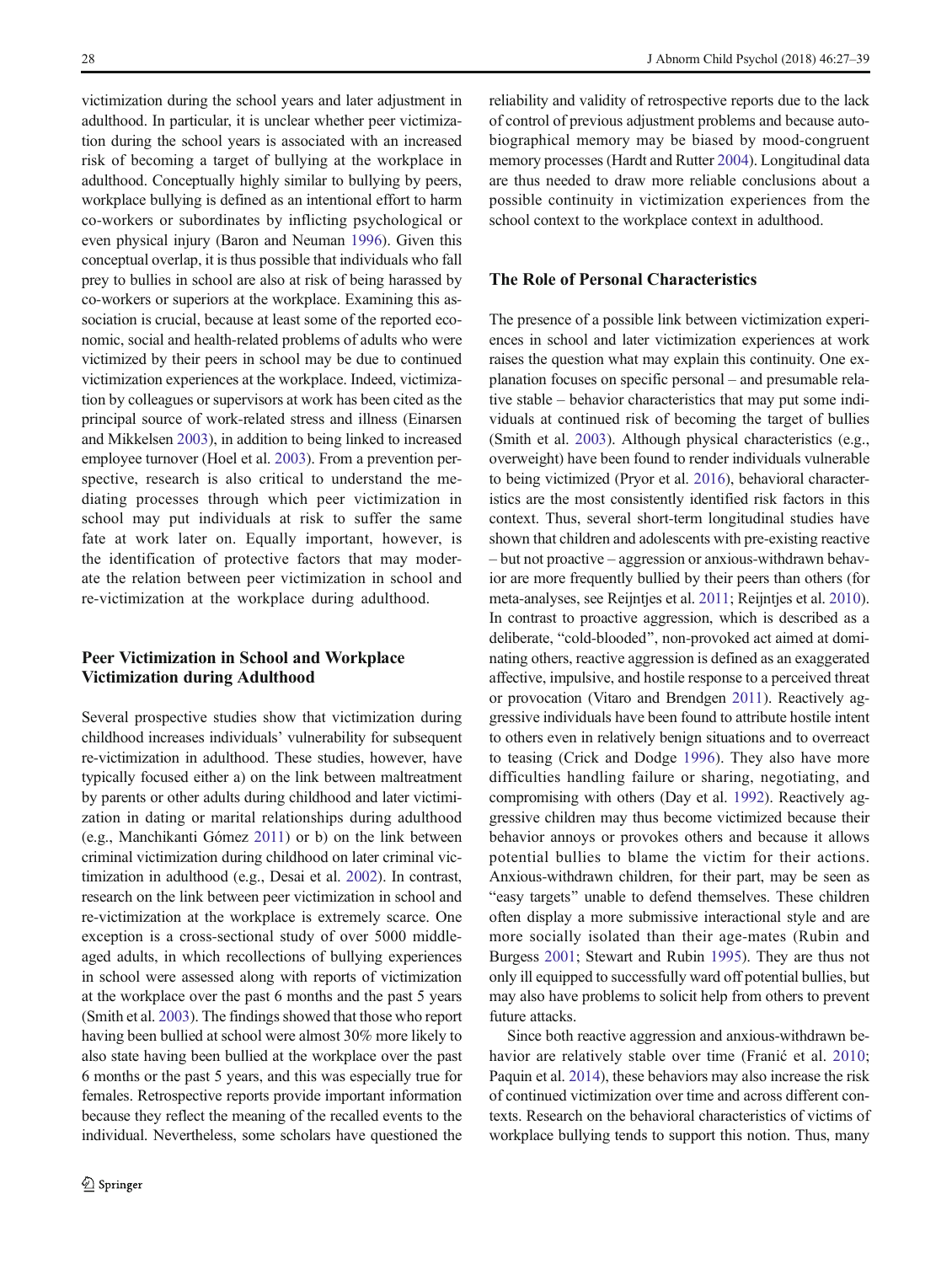victimization during the school years and later adjustment in adulthood. In particular, it is unclear whether peer victimization during the school years is associated with an increased risk of becoming a target of bullying at the workplace in adulthood. Conceptually highly similar to bullying by peers, workplace bullying is defined as an intentional effort to harm co-workers or subordinates by inflicting psychological or even physical injury (Baron and Neuman [1996\)](#page-10-0). Given this conceptual overlap, it is thus possible that individuals who fall prey to bullies in school are also at risk of being harassed by co-workers or superiors at the workplace. Examining this association is crucial, because at least some of the reported economic, social and health-related problems of adults who were victimized by their peers in school may be due to continued victimization experiences at the workplace. Indeed, victimization by colleagues or supervisors at work has been cited as the principal source of work-related stress and illness (Einarsen and Mikkelsen [2003](#page-11-0)), in addition to being linked to increased employee turnover (Hoel et al. [2003\)](#page-11-0). From a prevention perspective, research is also critical to understand the mediating processes through which peer victimization in school may put individuals at risk to suffer the same fate at work later on. Equally important, however, is the identification of protective factors that may moderate the relation between peer victimization in school and re-victimization at the workplace during adulthood.

# Peer Victimization in School and Workplace Victimization during Adulthood

Several prospective studies show that victimization during childhood increases individuals' vulnerability for subsequent re-victimization in adulthood. These studies, however, have typically focused either a) on the link between maltreatment by parents or other adults during childhood and later victimization in dating or marital relationships during adulthood (e.g., Manchikanti Gómez [2011](#page-11-0)) or b) on the link between criminal victimization during childhood on later criminal victimization in adulthood (e.g., Desai et al. [2002](#page-10-0)). In contrast, research on the link between peer victimization in school and re-victimization at the workplace is extremely scarce. One exception is a cross-sectional study of over 5000 middleaged adults, in which recollections of bullying experiences in school were assessed along with reports of victimization at the workplace over the past 6 months and the past 5 years (Smith et al. [2003\)](#page-12-0). The findings showed that those who report having been bullied at school were almost 30% more likely to also state having been bullied at the workplace over the past 6 months or the past 5 years, and this was especially true for females. Retrospective reports provide important information because they reflect the meaning of the recalled events to the individual. Nevertheless, some scholars have questioned the reliability and validity of retrospective reports due to the lack of control of previous adjustment problems and because autobiographical memory may be biased by mood-congruent memory processes (Hardt and Rutter [2004\)](#page-11-0). Longitudinal data are thus needed to draw more reliable conclusions about a possible continuity in victimization experiences from the school context to the workplace context in adulthood.

# The Role of Personal Characteristics

The presence of a possible link between victimization experiences in school and later victimization experiences at work raises the question what may explain this continuity. One explanation focuses on specific personal – and presumable relative stable – behavior characteristics that may put some individuals at continued risk of becoming the target of bullies (Smith et al. [2003\)](#page-12-0). Although physical characteristics (e.g., overweight) have been found to render individuals vulnerable to being victimized (Pryor et al. [2016\)](#page-11-0), behavioral characteristics are the most consistently identified risk factors in this context. Thus, several short-term longitudinal studies have shown that children and adolescents with pre-existing reactive – but not proactive – aggression or anxious-withdrawn behavior are more frequently bullied by their peers than others (for meta-analyses, see Reijntjes et al. [2011;](#page-11-0) Reijntjes et al. [2010\)](#page-11-0). In contrast to proactive aggression, which is described as a deliberate, "cold-blooded", non-provoked act aimed at dominating others, reactive aggression is defined as an exaggerated affective, impulsive, and hostile response to a perceived threat or provocation (Vitaro and Brendgen [2011\)](#page-12-0). Reactively aggressive individuals have been found to attribute hostile intent to others even in relatively benign situations and to overreact to teasing (Crick and Dodge [1996\)](#page-10-0). They also have more difficulties handling failure or sharing, negotiating, and compromising with others (Day et al. [1992](#page-10-0)). Reactively aggressive children may thus become victimized because their behavior annoys or provokes others and because it allows potential bullies to blame the victim for their actions. Anxious-withdrawn children, for their part, may be seen as "easy targets" unable to defend themselves. These children often display a more submissive interactional style and are more socially isolated than their age-mates (Rubin and Burgess [2001](#page-12-0); Stewart and Rubin [1995](#page-12-0)). They are thus not only ill equipped to successfully ward off potential bullies, but may also have problems to solicit help from others to prevent future attacks.

Since both reactive aggression and anxious-withdrawn behavior are relatively stable over time (Franić et al. [2010;](#page-11-0) Paquin et al. [2014\)](#page-11-0), these behaviors may also increase the risk of continued victimization over time and across different contexts. Research on the behavioral characteristics of victims of workplace bullying tends to support this notion. Thus, many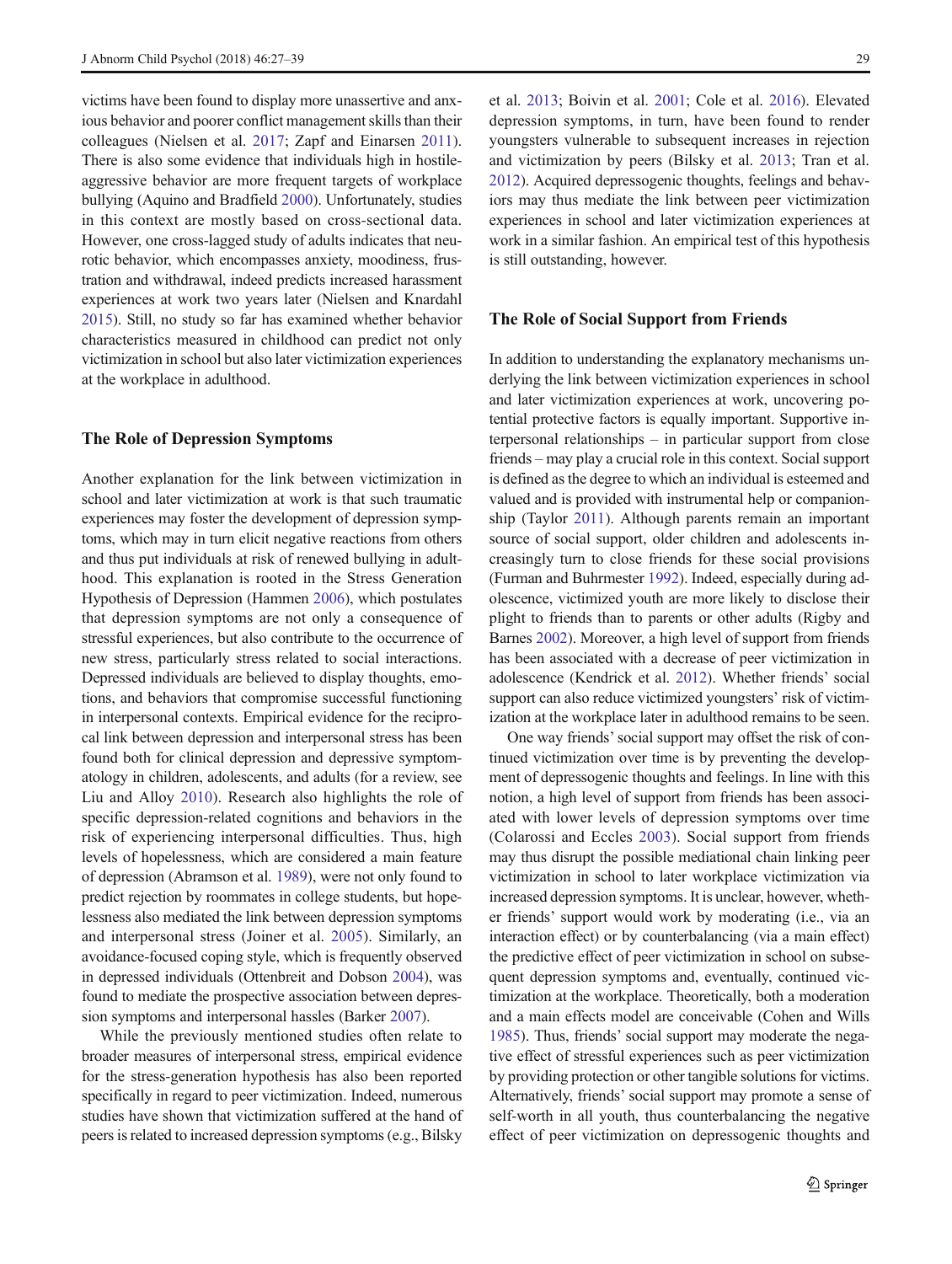victims have been found to display more unassertive and anxious behavior and poorer conflict management skills than their colleagues (Nielsen et al. [2017](#page-11-0); Zapf and Einarsen [2011](#page-12-0)). There is also some evidence that individuals high in hostileaggressive behavior are more frequent targets of workplace bullying (Aquino and Bradfield [2000\)](#page-10-0). Unfortunately, studies in this context are mostly based on cross-sectional data. However, one cross-lagged study of adults indicates that neurotic behavior, which encompasses anxiety, moodiness, frustration and withdrawal, indeed predicts increased harassment experiences at work two years later (Nielsen and Knardahl [2015\)](#page-11-0). Still, no study so far has examined whether behavior characteristics measured in childhood can predict not only victimization in school but also later victimization experiences at the workplace in adulthood.

## The Role of Depression Symptoms

Another explanation for the link between victimization in school and later victimization at work is that such traumatic experiences may foster the development of depression symptoms, which may in turn elicit negative reactions from others and thus put individuals at risk of renewed bullying in adulthood. This explanation is rooted in the Stress Generation Hypothesis of Depression (Hammen [2006\)](#page-11-0), which postulates that depression symptoms are not only a consequence of stressful experiences, but also contribute to the occurrence of new stress, particularly stress related to social interactions. Depressed individuals are believed to display thoughts, emotions, and behaviors that compromise successful functioning in interpersonal contexts. Empirical evidence for the reciprocal link between depression and interpersonal stress has been found both for clinical depression and depressive symptomatology in children, adolescents, and adults (for a review, see Liu and Alloy [2010](#page-11-0)). Research also highlights the role of specific depression-related cognitions and behaviors in the risk of experiencing interpersonal difficulties. Thus, high levels of hopelessness, which are considered a main feature of depression (Abramson et al. [1989](#page-10-0)), were not only found to predict rejection by roommates in college students, but hopelessness also mediated the link between depression symptoms and interpersonal stress (Joiner et al. [2005](#page-11-0)). Similarly, an avoidance-focused coping style, which is frequently observed in depressed individuals (Ottenbreit and Dobson [2004](#page-11-0)), was found to mediate the prospective association between depression symptoms and interpersonal hassles (Barker [2007\)](#page-10-0).

While the previously mentioned studies often relate to broader measures of interpersonal stress, empirical evidence for the stress-generation hypothesis has also been reported specifically in regard to peer victimization. Indeed, numerous studies have shown that victimization suffered at the hand of peers is related to increased depression symptoms (e.g., Bilsky

et al. [2013](#page-10-0); Boivin et al. [2001](#page-10-0); Cole et al. [2016](#page-10-0)). Elevated depression symptoms, in turn, have been found to render youngsters vulnerable to subsequent increases in rejection and victimization by peers (Bilsky et al. [2013](#page-10-0); Tran et al. [2012\)](#page-12-0). Acquired depressogenic thoughts, feelings and behaviors may thus mediate the link between peer victimization experiences in school and later victimization experiences at work in a similar fashion. An empirical test of this hypothesis is still outstanding, however.

## The Role of Social Support from Friends

In addition to understanding the explanatory mechanisms underlying the link between victimization experiences in school and later victimization experiences at work, uncovering potential protective factors is equally important. Supportive interpersonal relationships – in particular support from close friends – may play a crucial role in this context. Social support is defined as the degree to which an individual is esteemed and valued and is provided with instrumental help or companionship (Taylor [2011\)](#page-12-0). Although parents remain an important source of social support, older children and adolescents increasingly turn to close friends for these social provisions (Furman and Buhrmester [1992\)](#page-11-0). Indeed, especially during adolescence, victimized youth are more likely to disclose their plight to friends than to parents or other adults (Rigby and Barnes [2002](#page-11-0)). Moreover, a high level of support from friends has been associated with a decrease of peer victimization in adolescence (Kendrick et al. [2012](#page-11-0)). Whether friends' social support can also reduce victimized youngsters' risk of victimization at the workplace later in adulthood remains to be seen.

One way friends'social support may offset the risk of continued victimization over time is by preventing the development of depressogenic thoughts and feelings. In line with this notion, a high level of support from friends has been associated with lower levels of depression symptoms over time (Colarossi and Eccles [2003](#page-10-0)). Social support from friends may thus disrupt the possible mediational chain linking peer victimization in school to later workplace victimization via increased depression symptoms. It is unclear, however, whether friends' support would work by moderating (i.e., via an interaction effect) or by counterbalancing (via a main effect) the predictive effect of peer victimization in school on subsequent depression symptoms and, eventually, continued victimization at the workplace. Theoretically, both a moderation and a main effects model are conceivable (Cohen and Wills [1985\)](#page-10-0). Thus, friends' social support may moderate the negative effect of stressful experiences such as peer victimization by providing protection or other tangible solutions for victims. Alternatively, friends' social support may promote a sense of self-worth in all youth, thus counterbalancing the negative effect of peer victimization on depressogenic thoughts and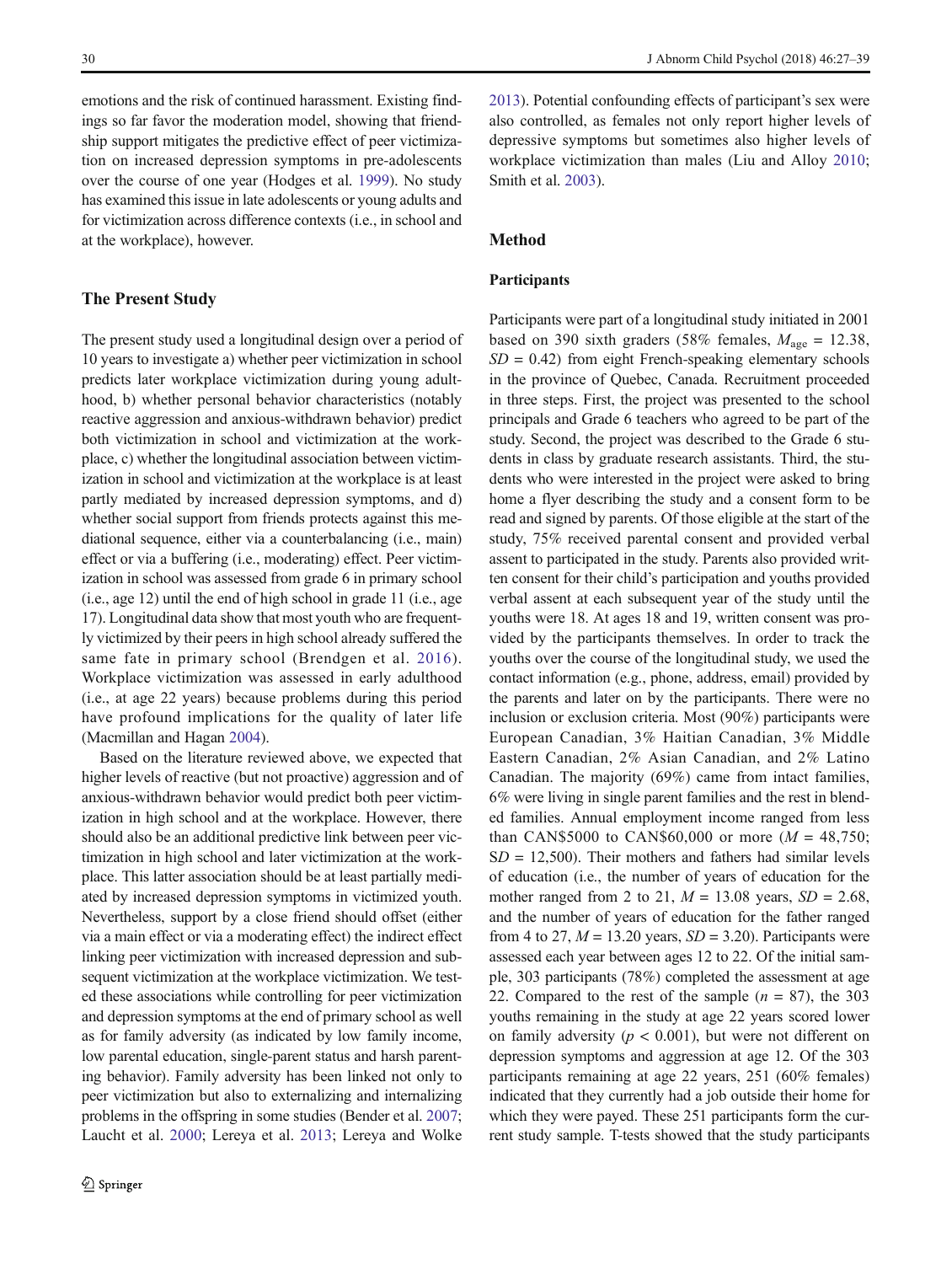emotions and the risk of continued harassment. Existing findings so far favor the moderation model, showing that friendship support mitigates the predictive effect of peer victimization on increased depression symptoms in pre-adolescents over the course of one year (Hodges et al. [1999\)](#page-11-0). No study has examined this issue in late adolescents or young adults and for victimization across difference contexts (i.e., in school and at the workplace), however.

## The Present Study

The present study used a longitudinal design over a period of 10 years to investigate a) whether peer victimization in school predicts later workplace victimization during young adulthood, b) whether personal behavior characteristics (notably reactive aggression and anxious-withdrawn behavior) predict both victimization in school and victimization at the workplace, c) whether the longitudinal association between victimization in school and victimization at the workplace is at least partly mediated by increased depression symptoms, and d) whether social support from friends protects against this mediational sequence, either via a counterbalancing (i.e., main) effect or via a buffering (i.e., moderating) effect. Peer victimization in school was assessed from grade 6 in primary school (i.e., age 12) until the end of high school in grade 11 (i.e., age 17). Longitudinal data show that most youth who are frequently victimized by their peers in high school already suffered the same fate in primary school (Brendgen et al. [2016\)](#page-10-0). Workplace victimization was assessed in early adulthood (i.e., at age 22 years) because problems during this period have profound implications for the quality of later life (Macmillan and Hagan [2004](#page-11-0)).

Based on the literature reviewed above, we expected that higher levels of reactive (but not proactive) aggression and of anxious-withdrawn behavior would predict both peer victimization in high school and at the workplace. However, there should also be an additional predictive link between peer victimization in high school and later victimization at the workplace. This latter association should be at least partially mediated by increased depression symptoms in victimized youth. Nevertheless, support by a close friend should offset (either via a main effect or via a moderating effect) the indirect effect linking peer victimization with increased depression and subsequent victimization at the workplace victimization. We tested these associations while controlling for peer victimization and depression symptoms at the end of primary school as well as for family adversity (as indicated by low family income, low parental education, single-parent status and harsh parenting behavior). Family adversity has been linked not only to peer victimization but also to externalizing and internalizing problems in the offspring in some studies (Bender et al. [2007](#page-10-0); Laucht et al. [2000](#page-11-0); Lereya et al. [2013;](#page-11-0) Lereya and Wolke

[2013\)](#page-11-0). Potential confounding effects of participant's sex were also controlled, as females not only report higher levels of depressive symptoms but sometimes also higher levels of workplace victimization than males (Liu and Alloy [2010;](#page-11-0) Smith et al. [2003](#page-12-0)).

## Method

## Participants

Participants were part of a longitudinal study initiated in 2001 based on 390 sixth graders (58% females,  $M_{\text{age}} = 12.38$ ,  $SD = 0.42$ ) from eight French-speaking elementary schools in the province of Quebec, Canada. Recruitment proceeded in three steps. First, the project was presented to the school principals and Grade 6 teachers who agreed to be part of the study. Second, the project was described to the Grade 6 students in class by graduate research assistants. Third, the students who were interested in the project were asked to bring home a flyer describing the study and a consent form to be read and signed by parents. Of those eligible at the start of the study, 75% received parental consent and provided verbal assent to participated in the study. Parents also provided written consent for their child's participation and youths provided verbal assent at each subsequent year of the study until the youths were 18. At ages 18 and 19, written consent was provided by the participants themselves. In order to track the youths over the course of the longitudinal study, we used the contact information (e.g., phone, address, email) provided by the parents and later on by the participants. There were no inclusion or exclusion criteria. Most (90%) participants were European Canadian, 3% Haitian Canadian, 3% Middle Eastern Canadian, 2% Asian Canadian, and 2% Latino Canadian. The majority (69%) came from intact families, 6% were living in single parent families and the rest in blended families. Annual employment income ranged from less than CAN\$5000 to CAN\$60,000 or more  $(M = 48,750)$ ;  $SD = 12,500$ . Their mothers and fathers had similar levels of education (i.e., the number of years of education for the mother ranged from 2 to 21,  $M = 13.08$  years,  $SD = 2.68$ , and the number of years of education for the father ranged from 4 to 27,  $M = 13.20$  years,  $SD = 3.20$ ). Participants were assessed each year between ages 12 to 22. Of the initial sample, 303 participants (78%) completed the assessment at age 22. Compared to the rest of the sample  $(n = 87)$ , the 303 youths remaining in the study at age 22 years scored lower on family adversity ( $p < 0.001$ ), but were not different on depression symptoms and aggression at age 12. Of the 303 participants remaining at age 22 years, 251 (60% females) indicated that they currently had a job outside their home for which they were payed. These 251 participants form the current study sample. T-tests showed that the study participants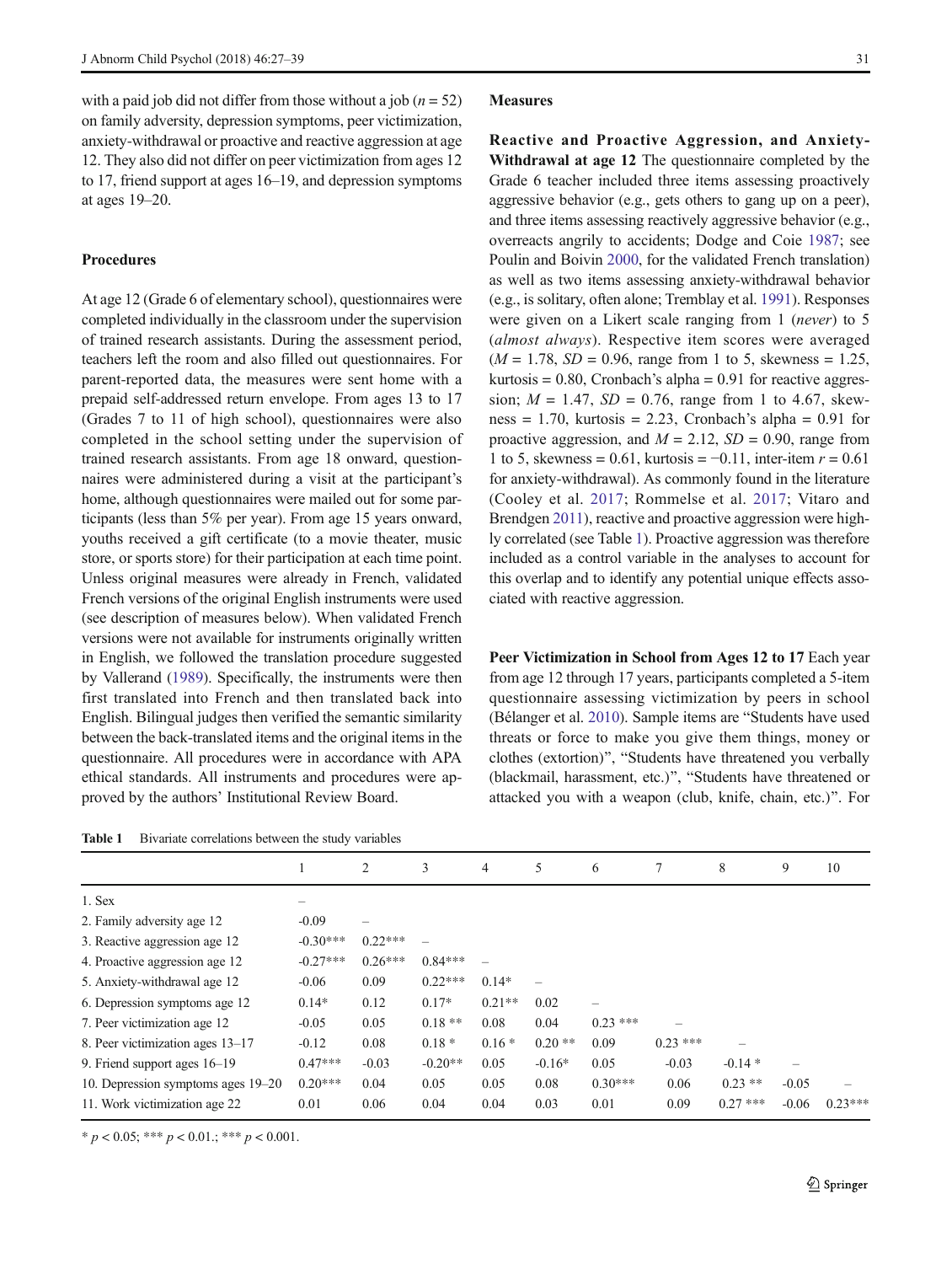<span id="page-4-0"></span>with a paid job did not differ from those without a job ( $n = 52$ ) on family adversity, depression symptoms, peer victimization, anxiety-withdrawal or proactive and reactive aggression at age 12. They also did not differ on peer victimization from ages 12 to 17, friend support at ages 16–19, and depression symptoms at ages 19–20.

## Procedures

At age 12 (Grade 6 of elementary school), questionnaires were completed individually in the classroom under the supervision of trained research assistants. During the assessment period, teachers left the room and also filled out questionnaires. For parent-reported data, the measures were sent home with a prepaid self-addressed return envelope. From ages 13 to 17 (Grades 7 to 11 of high school), questionnaires were also completed in the school setting under the supervision of trained research assistants. From age 18 onward, questionnaires were administered during a visit at the participant's home, although questionnaires were mailed out for some participants (less than 5% per year). From age 15 years onward, youths received a gift certificate (to a movie theater, music store, or sports store) for their participation at each time point. Unless original measures were already in French, validated French versions of the original English instruments were used (see description of measures below). When validated French versions were not available for instruments originally written in English, we followed the translation procedure suggested by Vallerand ([1989](#page-12-0)). Specifically, the instruments were then first translated into French and then translated back into English. Bilingual judges then verified the semantic similarity between the back-translated items and the original items in the questionnaire. All procedures were in accordance with APA ethical standards. All instruments and procedures were approved by the authors' Institutional Review Board.

| <b>Table 1</b> |  | Bivariate correlations between the study variables |  |  |  |  |  |
|----------------|--|----------------------------------------------------|--|--|--|--|--|
|----------------|--|----------------------------------------------------|--|--|--|--|--|

#### Measures

Reactive and Proactive Aggression, and Anxiety-Withdrawal at age 12 The questionnaire completed by the Grade 6 teacher included three items assessing proactively aggressive behavior (e.g., gets others to gang up on a peer), and three items assessing reactively aggressive behavior (e.g., overreacts angrily to accidents; Dodge and Coie [1987](#page-10-0); see Poulin and Boivin [2000,](#page-11-0) for the validated French translation) as well as two items assessing anxiety-withdrawal behavior (e.g., is solitary, often alone; Tremblay et al. [1991\)](#page-12-0). Responses were given on a Likert scale ranging from 1 (never) to 5 (almost always). Respective item scores were averaged  $(M = 1.78, SD = 0.96, range from 1 to 5, skewness = 1.25,$ kurtosis =  $0.80$ , Cronbach's alpha =  $0.91$  for reactive aggression;  $M = 1.47$ ,  $SD = 0.76$ , range from 1 to 4.67, skewness = 1.70, kurtosis = 2.23, Cronbach's alpha =  $0.91$  for proactive aggression, and  $M = 2.12$ ,  $SD = 0.90$ , range from 1 to 5, skewness = 0.61, kurtosis =  $-0.11$ , inter-item  $r = 0.61$ for anxiety-withdrawal). As commonly found in the literature (Cooley et al. [2017;](#page-10-0) Rommelse et al. [2017](#page-11-0); Vitaro and Brendgen [2011](#page-12-0)), reactive and proactive aggression were highly correlated (see Table 1). Proactive aggression was therefore included as a control variable in the analyses to account for this overlap and to identify any potential unique effects associated with reactive aggression.

Peer Victimization in School from Ages 12 to 17 Each year from age 12 through 17 years, participants completed a 5-item questionnaire assessing victimization by peers in school (Bélanger et al. [2010\)](#page-10-0). Sample items are "Students have used threats or force to make you give them things, money or clothes (extortion)", "Students have threatened you verbally (blackmail, harassment, etc.)", "Students have threatened or attacked you with a weapon (club, knife, chain, etc.)^. For

|                                    |            | 2         | 3         | 4        | 5        | 6          | 7         | 8          | 9       | 10        |
|------------------------------------|------------|-----------|-----------|----------|----------|------------|-----------|------------|---------|-----------|
| 1. Sex                             |            |           |           |          |          |            |           |            |         |           |
| 2. Family adversity age 12         | $-0.09$    |           |           |          |          |            |           |            |         |           |
| 3. Reactive aggression age 12      | $-0.30***$ | $0.22***$ |           |          |          |            |           |            |         |           |
| 4. Proactive aggression age 12     | $-0.27***$ | $0.26***$ | $0.84***$ |          |          |            |           |            |         |           |
| 5. Anxiety-withdrawal age 12       | $-0.06$    | 0.09      | $0.22***$ | $0.14*$  |          |            |           |            |         |           |
| 6. Depression symptoms age 12      | $0.14*$    | 0.12      | $0.17*$   | $0.21**$ | 0.02     |            |           |            |         |           |
| 7. Peer victimization age 12       | $-0.05$    | 0.05      | $0.18**$  | 0.08     | 0.04     | $0.23$ *** |           |            |         |           |
| 8. Peer victimization ages 13–17   | $-0.12$    | 0.08      | $0.18*$   | $0.16*$  | $0.20**$ | 0.09       | $0.23***$ |            |         |           |
| 9. Friend support ages $16-19$     | $0.47***$  | $-0.03$   | $-0.20**$ | 0.05     | $-0.16*$ | 0.05       | $-0.03$   | $-0.14*$   |         |           |
| 10. Depression symptoms ages 19–20 | $0.20***$  | 0.04      | 0.05      | 0.05     | 0.08     | $0.30***$  | 0.06      | $0.23$ **  | $-0.05$ |           |
| 11. Work victimization age 22      | 0.01       | 0.06      | 0.04      | 0.04     | 0.03     | 0.01       | 0.09      | $0.27$ *** | $-0.06$ | $0.23***$ |

 $* p < 0.05; ** p < 0.01; ** p < 0.001.$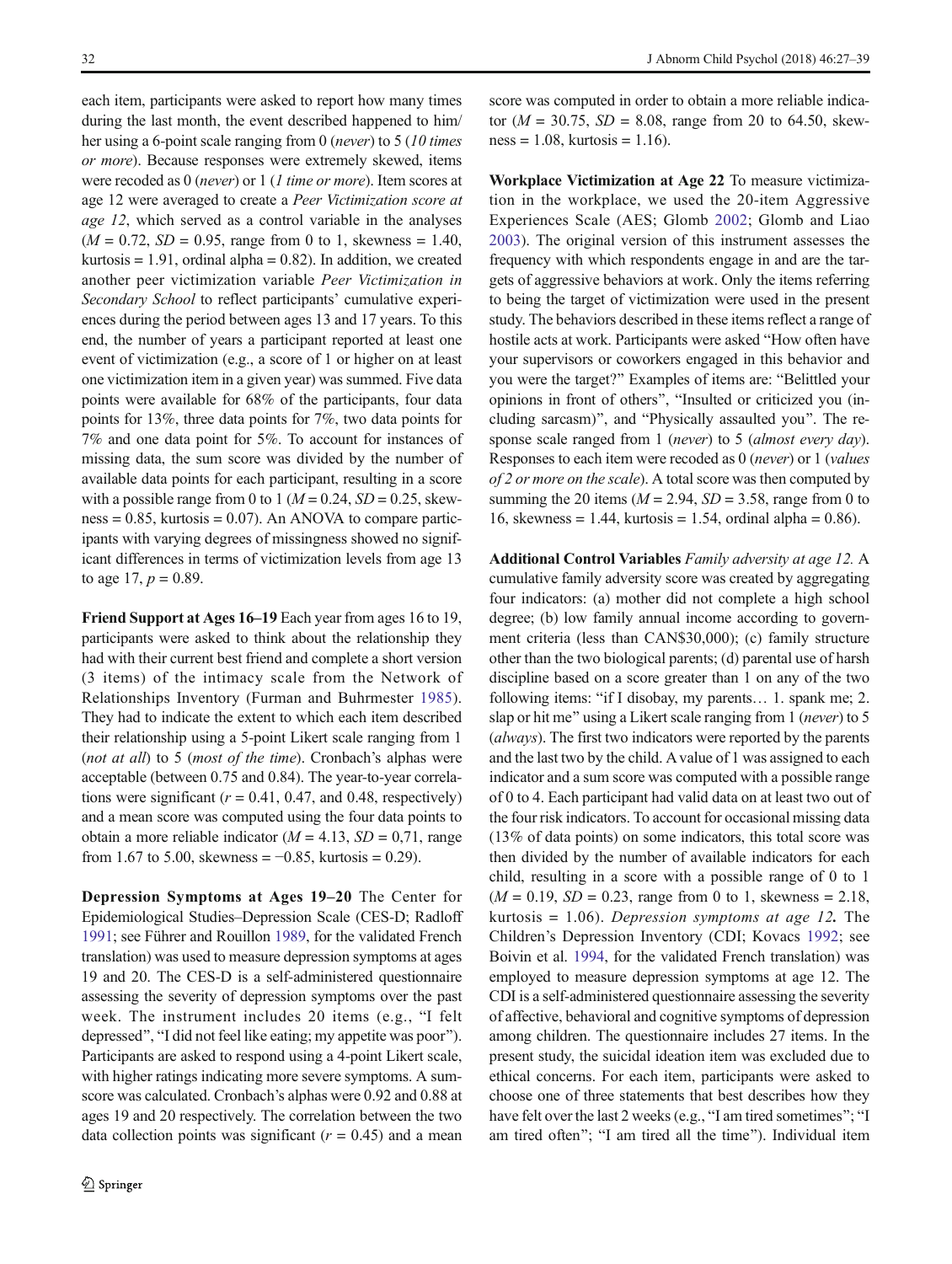each item, participants were asked to report how many times during the last month, the event described happened to him/ her using a 6-point scale ranging from 0 (never) to 5 (10 times or more). Because responses were extremely skewed, items were recoded as 0 (never) or 1 (1 time or more). Item scores at age 12 were averaged to create a Peer Victimization score at age 12, which served as a control variable in the analyses  $(M = 0.72, SD = 0.95, range from 0 to 1, skewness = 1.40,$ kurtosis  $= 1.91$ , ordinal alpha  $= 0.82$ ). In addition, we created another peer victimization variable Peer Victimization in Secondary School to reflect participants' cumulative experiences during the period between ages 13 and 17 years. To this end, the number of years a participant reported at least one event of victimization (e.g., a score of 1 or higher on at least one victimization item in a given year) was summed. Five data points were available for 68% of the participants, four data points for 13%, three data points for 7%, two data points for 7% and one data point for 5%. To account for instances of missing data, the sum score was divided by the number of available data points for each participant, resulting in a score with a possible range from 0 to 1 ( $M = 0.24$ ,  $SD = 0.25$ , skew $ness = 0.85$ , kurtosis = 0.07). An ANOVA to compare participants with varying degrees of missingness showed no significant differences in terms of victimization levels from age 13 to age 17,  $p = 0.89$ .

Friend Support at Ages 16–19 Each year from ages 16 to 19, participants were asked to think about the relationship they had with their current best friend and complete a short version (3 items) of the intimacy scale from the Network of Relationships Inventory (Furman and Buhrmester [1985](#page-11-0)). They had to indicate the extent to which each item described their relationship using a 5-point Likert scale ranging from 1 (not at all) to 5 (most of the time). Cronbach's alphas were acceptable (between 0.75 and 0.84). The year-to-year correlations were significant ( $r = 0.41$ , 0.47, and 0.48, respectively) and a mean score was computed using the four data points to obtain a more reliable indicator ( $M = 4.13$ ,  $SD = 0.71$ , range from 1.67 to 5.00, skewness =  $-0.85$ , kurtosis = 0.29).

Depression Symptoms at Ages 19–20 The Center for Epidemiological Studies–Depression Scale (CES-D; Radloff [1991;](#page-11-0) see Führer and Rouillon [1989](#page-11-0), for the validated French translation) was used to measure depression symptoms at ages 19 and 20. The CES-D is a self-administered questionnaire assessing the severity of depression symptoms over the past week. The instrument includes 20 items (e.g., "I felt depressed", "I did not feel like eating; my appetite was poor"). Participants are asked to respond using a 4-point Likert scale, with higher ratings indicating more severe symptoms. A sumscore was calculated. Cronbach's alphas were 0.92 and 0.88 at ages 19 and 20 respectively. The correlation between the two data collection points was significant  $(r = 0.45)$  and a mean

score was computed in order to obtain a more reliable indicator ( $M = 30.75$ ,  $SD = 8.08$ , range from 20 to 64.50, skew $ness = 1.08$ , kurtosis = 1.16).

Workplace Victimization at Age 22 To measure victimization in the workplace, we used the 20-item Aggressive Experiences Scale (AES; Glomb [2002](#page-11-0); Glomb and Liao [2003](#page-11-0)). The original version of this instrument assesses the frequency with which respondents engage in and are the targets of aggressive behaviors at work. Only the items referring to being the target of victimization were used in the present study. The behaviors described in these items reflect a range of hostile acts at work. Participants were asked "How often have your supervisors or coworkers engaged in this behavior and you were the target?" Examples of items are: "Belittled your opinions in front of others", "Insulted or criticized you (including sarcasm)", and "Physically assaulted you". The response scale ranged from 1 (never) to 5 (almost every day). Responses to each item were recoded as 0 (never) or 1 (values of 2 or more on the scale). A total score was then computed by summing the 20 items ( $M = 2.94$ ,  $SD = 3.58$ , range from 0 to 16, skewness = 1.44, kurtosis = 1.54, ordinal alpha =  $0.86$ ).

Additional Control Variables Family adversity at age 12. A cumulative family adversity score was created by aggregating four indicators: (a) mother did not complete a high school degree; (b) low family annual income according to government criteria (less than CAN\$30,000); (c) family structure other than the two biological parents; (d) parental use of harsh discipline based on a score greater than 1 on any of the two following items: "if I disobay, my parents... 1. spank me; 2. slap or hit me" using a Likert scale ranging from 1 (never) to 5 (always). The first two indicators were reported by the parents and the last two by the child. A value of 1 was assigned to each indicator and a sum score was computed with a possible range of 0 to 4. Each participant had valid data on at least two out of the four risk indicators. To account for occasional missing data (13% of data points) on some indicators, this total score was then divided by the number of available indicators for each child, resulting in a score with a possible range of 0 to 1  $(M = 0.19, SD = 0.23, range from 0 to 1, skewness = 2.18,$ kurtosis  $= 1.06$ ). Depression symptoms at age 12. The Children's Depression Inventory (CDI; Kovacs [1992;](#page-11-0) see Boivin et al. [1994](#page-10-0), for the validated French translation) was employed to measure depression symptoms at age 12. The CDI is a self-administered questionnaire assessing the severity of affective, behavioral and cognitive symptoms of depression among children. The questionnaire includes 27 items. In the present study, the suicidal ideation item was excluded due to ethical concerns. For each item, participants were asked to choose one of three statements that best describes how they have felt over the last 2 weeks (e.g., "I am tired sometimes"; "I am tired often"; "I am tired all the time"). Individual item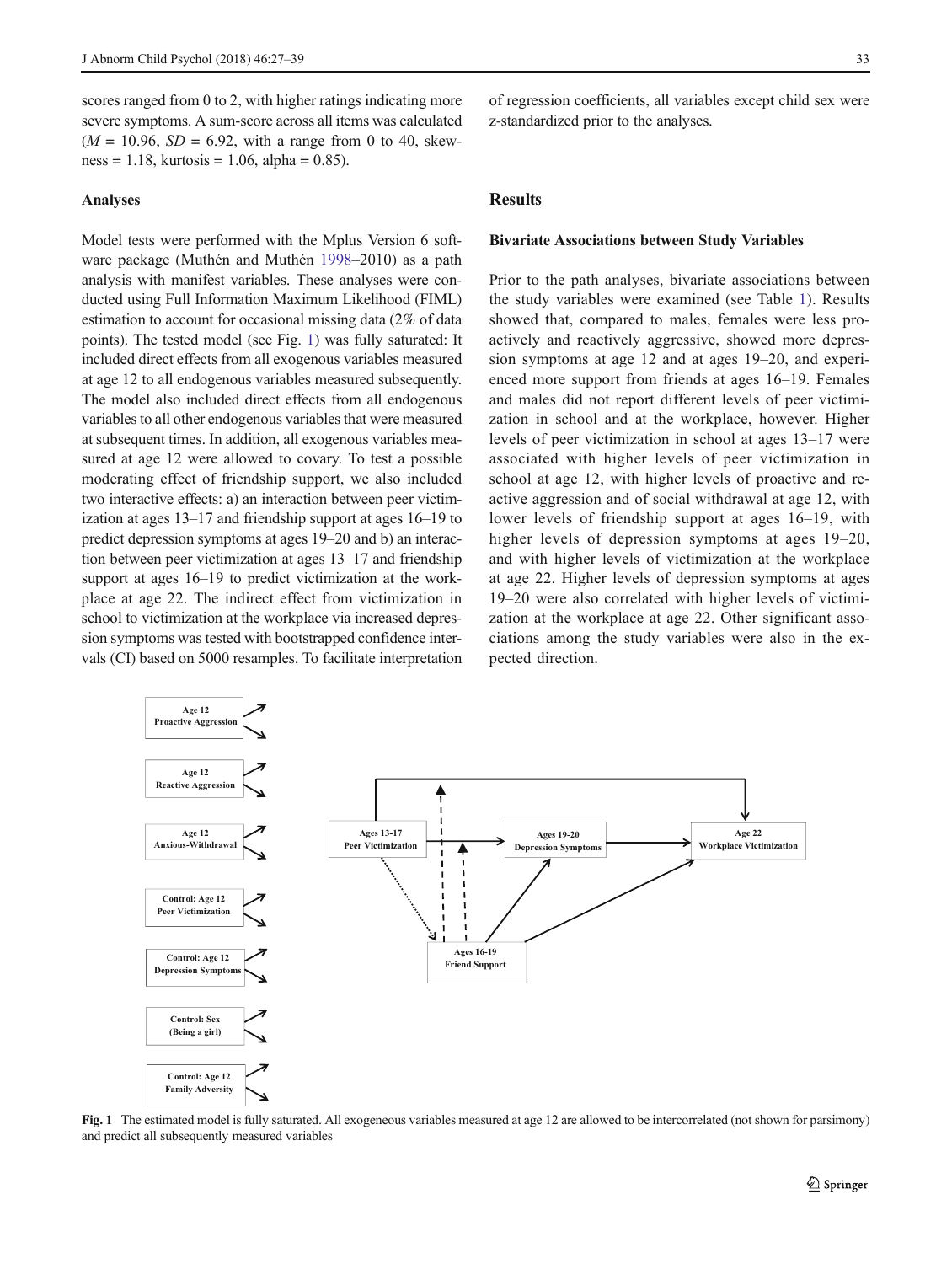scores ranged from 0 to 2, with higher ratings indicating more severe symptoms. A sum-score across all items was calculated  $(M = 10.96, SD = 6.92, with a range from 0 to 40, skew$  $ness = 1.18$ , kurtosis = 1.06, alpha = 0.85).

#### Analyses

Model tests were performed with the Mplus Version 6 software package (Muthén and Muthén [1998](#page-11-0)–2010) as a path analysis with manifest variables. These analyses were conducted using Full Information Maximum Likelihood (FIML) estimation to account for occasional missing data (2% of data points). The tested model (see Fig. 1) was fully saturated: It included direct effects from all exogenous variables measured at age 12 to all endogenous variables measured subsequently. The model also included direct effects from all endogenous variables to all other endogenous variables that were measured at subsequent times. In addition, all exogenous variables measured at age 12 were allowed to covary. To test a possible moderating effect of friendship support, we also included two interactive effects: a) an interaction between peer victimization at ages 13–17 and friendship support at ages 16–19 to predict depression symptoms at ages 19–20 and b) an interaction between peer victimization at ages 13–17 and friendship support at ages 16–19 to predict victimization at the workplace at age 22. The indirect effect from victimization in school to victimization at the workplace via increased depression symptoms was tested with bootstrapped confidence intervals (CI) based on 5000 resamples. To facilitate interpretation of regression coefficients, all variables except child sex were z-standardized prior to the analyses.

## Results

#### Bivariate Associations between Study Variables

Prior to the path analyses, bivariate associations between the study variables were examined (see Table [1\)](#page-4-0). Results showed that, compared to males, females were less proactively and reactively aggressive, showed more depression symptoms at age 12 and at ages 19–20, and experienced more support from friends at ages 16–19. Females and males did not report different levels of peer victimization in school and at the workplace, however. Higher levels of peer victimization in school at ages 13–17 were associated with higher levels of peer victimization in school at age 12, with higher levels of proactive and reactive aggression and of social withdrawal at age 12, with lower levels of friendship support at ages 16–19, with higher levels of depression symptoms at ages  $19-20$ , and with higher levels of victimization at the workplace at age 22. Higher levels of depression symptoms at ages 19–20 were also correlated with higher levels of victimization at the workplace at age 22. Other significant associations among the study variables were also in the expected direction.



Fig. 1 The estimated model is fully saturated. All exogeneous variables measured at age 12 are allowed to be intercorrelated (not shown for parsimony) and predict all subsequently measured variables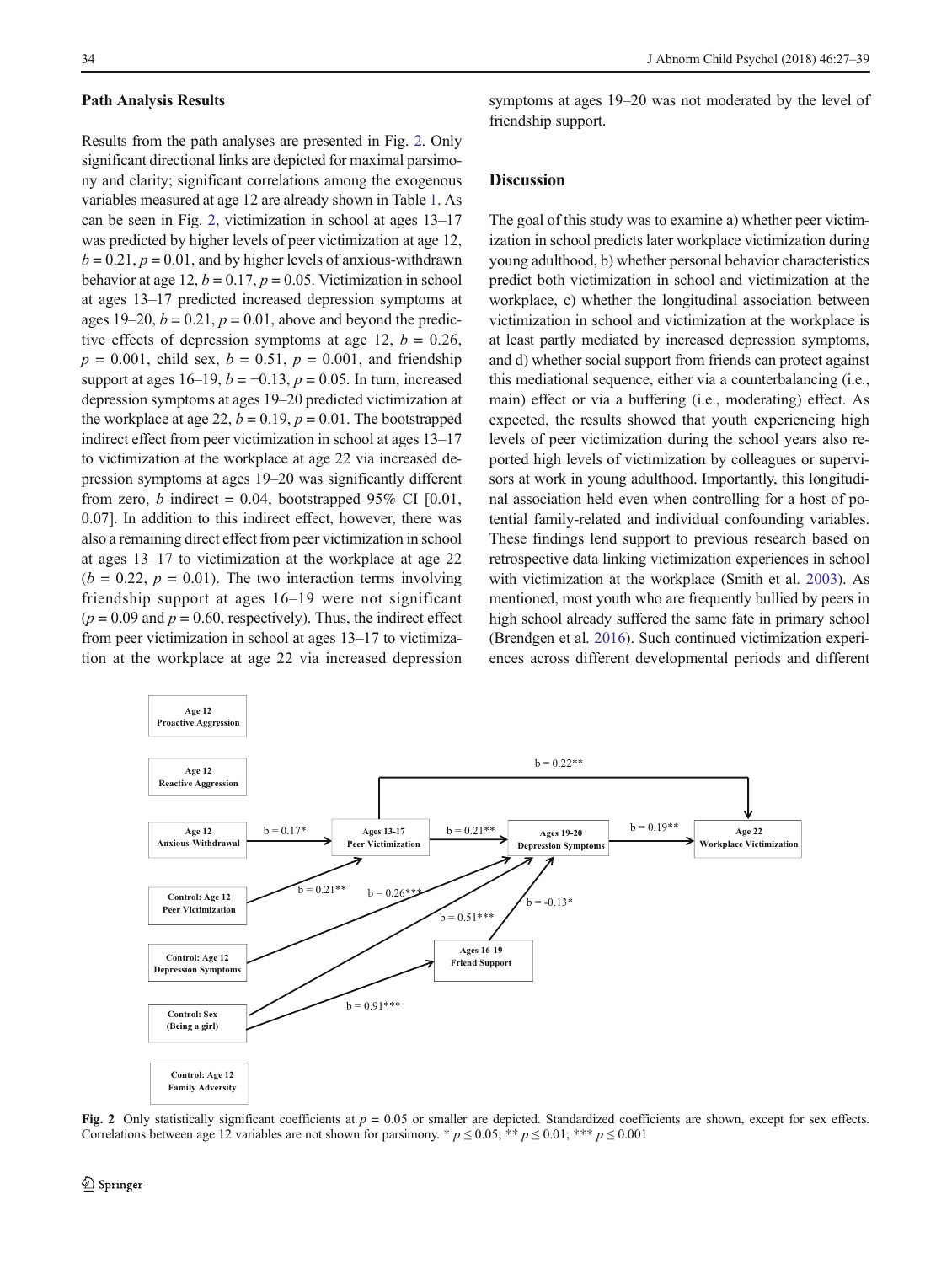#### Path Analysis Results

Results from the path analyses are presented in Fig. 2. Only significant directional links are depicted for maximal parsimony and clarity; significant correlations among the exogenous variables measured at age 12 are already shown in Table [1.](#page-4-0) As can be seen in Fig. 2, victimization in school at ages 13–17 was predicted by higher levels of peer victimization at age 12,  $b = 0.21$ ,  $p = 0.01$ , and by higher levels of anxious-withdrawn behavior at age 12,  $b = 0.17$ ,  $p = 0.05$ . Victimization in school at ages 13–17 predicted increased depression symptoms at ages 19–20,  $b = 0.21$ ,  $p = 0.01$ , above and beyond the predictive effects of depression symptoms at age 12,  $b = 0.26$ ,  $p = 0.001$ , child sex,  $b = 0.51$ ,  $p = 0.001$ , and friendship support at ages 16–19,  $b = -0.13$ ,  $p = 0.05$ . In turn, increased depression symptoms at ages 19–20 predicted victimization at the workplace at age 22,  $b = 0.19$ ,  $p = 0.01$ . The bootstrapped indirect effect from peer victimization in school at ages 13–17 to victimization at the workplace at age 22 via increased depression symptoms at ages 19–20 was significantly different from zero, b indirect = 0.04, bootstrapped 95% CI  $[0.01]$ , 0.07]. In addition to this indirect effect, however, there was also a remaining direct effect from peer victimization in school at ages 13–17 to victimization at the workplace at age 22  $(b = 0.22, p = 0.01)$ . The two interaction terms involving friendship support at ages 16–19 were not significant  $(p = 0.09$  and  $p = 0.60$ , respectively). Thus, the indirect effect from peer victimization in school at ages 13–17 to victimization at the workplace at age 22 via increased depression symptoms at ages 19–20 was not moderated by the level of friendship support.

## **Discussion**

The goal of this study was to examine a) whether peer victimization in school predicts later workplace victimization during young adulthood, b) whether personal behavior characteristics predict both victimization in school and victimization at the workplace, c) whether the longitudinal association between victimization in school and victimization at the workplace is at least partly mediated by increased depression symptoms, and d) whether social support from friends can protect against this mediational sequence, either via a counterbalancing (i.e., main) effect or via a buffering (i.e., moderating) effect. As expected, the results showed that youth experiencing high levels of peer victimization during the school years also reported high levels of victimization by colleagues or supervisors at work in young adulthood. Importantly, this longitudinal association held even when controlling for a host of potential family-related and individual confounding variables. These findings lend support to previous research based on retrospective data linking victimization experiences in school with victimization at the workplace (Smith et al. [2003](#page-12-0)). As mentioned, most youth who are frequently bullied by peers in high school already suffered the same fate in primary school (Brendgen et al. [2016](#page-10-0)). Such continued victimization experiences across different developmental periods and different



Fig. 2 Only statistically significant coefficients at  $p = 0.05$  or smaller are depicted. Standardized coefficients are shown, except for sex effects. Correlations between age 12 variables are not shown for parsimony. \*  $p \le 0.05$ ; \*\*  $p \le 0.01$ ; \*\*\*  $p \le 0.001$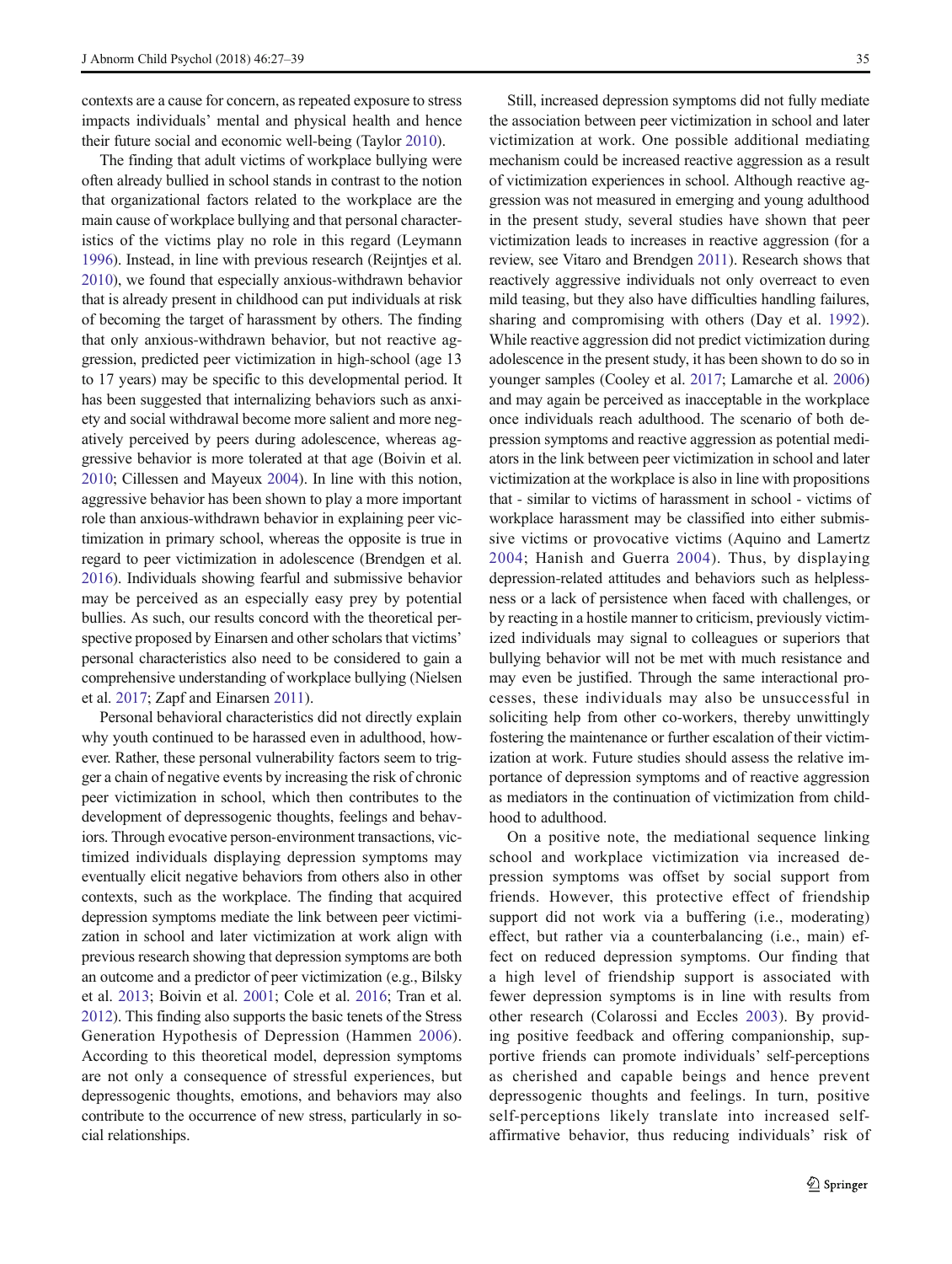contexts are a cause for concern, as repeated exposure to stress impacts individuals' mental and physical health and hence their future social and economic well-being (Taylor [2010](#page-12-0)).

The finding that adult victims of workplace bullying were often already bullied in school stands in contrast to the notion that organizational factors related to the workplace are the main cause of workplace bullying and that personal characteristics of the victims play no role in this regard (Leymann [1996\)](#page-11-0). Instead, in line with previous research (Reijntjes et al. [2010\)](#page-11-0), we found that especially anxious-withdrawn behavior that is already present in childhood can put individuals at risk of becoming the target of harassment by others. The finding that only anxious-withdrawn behavior, but not reactive aggression, predicted peer victimization in high-school (age 13 to 17 years) may be specific to this developmental period. It has been suggested that internalizing behaviors such as anxiety and social withdrawal become more salient and more negatively perceived by peers during adolescence, whereas aggressive behavior is more tolerated at that age (Boivin et al. [2010;](#page-10-0) Cillessen and Mayeux [2004\)](#page-10-0). In line with this notion, aggressive behavior has been shown to play a more important role than anxious-withdrawn behavior in explaining peer victimization in primary school, whereas the opposite is true in regard to peer victimization in adolescence (Brendgen et al. [2016\)](#page-10-0). Individuals showing fearful and submissive behavior may be perceived as an especially easy prey by potential bullies. As such, our results concord with the theoretical perspective proposed by Einarsen and other scholars that victims' personal characteristics also need to be considered to gain a comprehensive understanding of workplace bullying (Nielsen et al. [2017](#page-11-0); Zapf and Einarsen [2011\)](#page-12-0).

Personal behavioral characteristics did not directly explain why youth continued to be harassed even in adulthood, however. Rather, these personal vulnerability factors seem to trigger a chain of negative events by increasing the risk of chronic peer victimization in school, which then contributes to the development of depressogenic thoughts, feelings and behaviors. Through evocative person-environment transactions, victimized individuals displaying depression symptoms may eventually elicit negative behaviors from others also in other contexts, such as the workplace. The finding that acquired depression symptoms mediate the link between peer victimization in school and later victimization at work align with previous research showing that depression symptoms are both an outcome and a predictor of peer victimization (e.g., Bilsky et al. [2013;](#page-10-0) Boivin et al. [2001;](#page-10-0) Cole et al. [2016](#page-10-0); Tran et al. [2012\)](#page-12-0). This finding also supports the basic tenets of the Stress Generation Hypothesis of Depression (Hammen [2006](#page-11-0)). According to this theoretical model, depression symptoms are not only a consequence of stressful experiences, but depressogenic thoughts, emotions, and behaviors may also contribute to the occurrence of new stress, particularly in social relationships.

Still, increased depression symptoms did not fully mediate the association between peer victimization in school and later victimization at work. One possible additional mediating mechanism could be increased reactive aggression as a result of victimization experiences in school. Although reactive aggression was not measured in emerging and young adulthood in the present study, several studies have shown that peer victimization leads to increases in reactive aggression (for a review, see Vitaro and Brendgen [2011\)](#page-12-0). Research shows that reactively aggressive individuals not only overreact to even mild teasing, but they also have difficulties handling failures, sharing and compromising with others (Day et al. [1992](#page-10-0)). While reactive aggression did not predict victimization during adolescence in the present study, it has been shown to do so in younger samples (Cooley et al. [2017;](#page-10-0) Lamarche et al. [2006](#page-11-0)) and may again be perceived as inacceptable in the workplace once individuals reach adulthood. The scenario of both depression symptoms and reactive aggression as potential mediators in the link between peer victimization in school and later victimization at the workplace is also in line with propositions that - similar to victims of harassment in school - victims of workplace harassment may be classified into either submissive victims or provocative victims (Aquino and Lamertz [2004;](#page-10-0) Hanish and Guerra [2004](#page-11-0)). Thus, by displaying depression-related attitudes and behaviors such as helplessness or a lack of persistence when faced with challenges, or by reacting in a hostile manner to criticism, previously victimized individuals may signal to colleagues or superiors that bullying behavior will not be met with much resistance and may even be justified. Through the same interactional processes, these individuals may also be unsuccessful in soliciting help from other co-workers, thereby unwittingly fostering the maintenance or further escalation of their victimization at work. Future studies should assess the relative importance of depression symptoms and of reactive aggression as mediators in the continuation of victimization from childhood to adulthood.

On a positive note, the mediational sequence linking school and workplace victimization via increased depression symptoms was offset by social support from friends. However, this protective effect of friendship support did not work via a buffering (i.e., moderating) effect, but rather via a counterbalancing (i.e., main) effect on reduced depression symptoms. Our finding that a high level of friendship support is associated with fewer depression symptoms is in line with results from other research (Colarossi and Eccles [2003](#page-10-0)). By providing positive feedback and offering companionship, supportive friends can promote individuals' self-perceptions as cherished and capable beings and hence prevent depressogenic thoughts and feelings. In turn, positive self-perceptions likely translate into increased selfaffirmative behavior, thus reducing individuals' risk of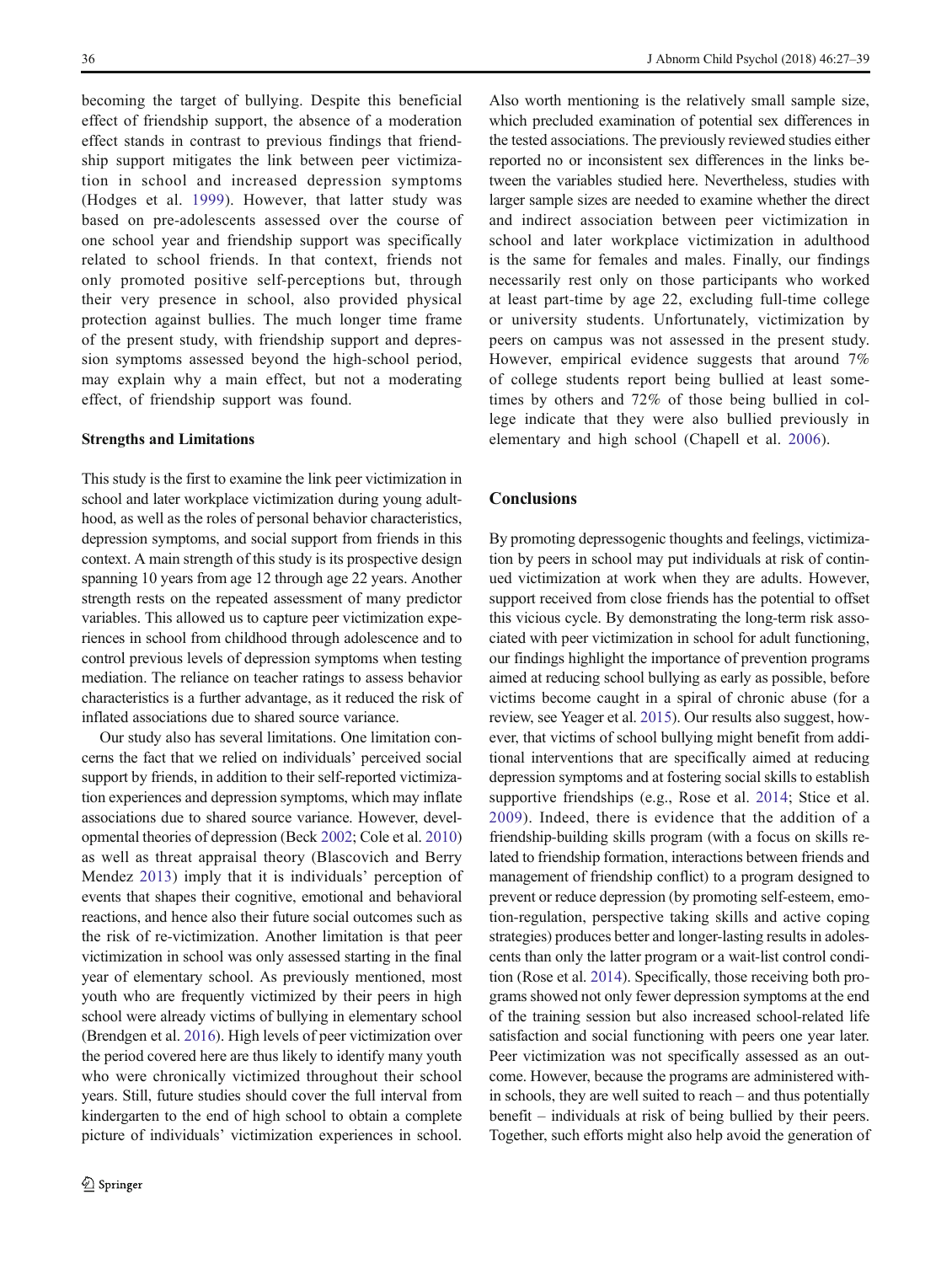becoming the target of bullying. Despite this beneficial effect of friendship support, the absence of a moderation effect stands in contrast to previous findings that friendship support mitigates the link between peer victimization in school and increased depression symptoms (Hodges et al. [1999\)](#page-11-0). However, that latter study was based on pre-adolescents assessed over the course of one school year and friendship support was specifically related to school friends. In that context, friends not only promoted positive self-perceptions but, through their very presence in school, also provided physical protection against bullies. The much longer time frame of the present study, with friendship support and depression symptoms assessed beyond the high-school period, may explain why a main effect, but not a moderating effect, of friendship support was found.

#### Strengths and Limitations

This study is the first to examine the link peer victimization in school and later workplace victimization during young adulthood, as well as the roles of personal behavior characteristics, depression symptoms, and social support from friends in this context. A main strength of this study is its prospective design spanning 10 years from age 12 through age 22 years. Another strength rests on the repeated assessment of many predictor variables. This allowed us to capture peer victimization experiences in school from childhood through adolescence and to control previous levels of depression symptoms when testing mediation. The reliance on teacher ratings to assess behavior characteristics is a further advantage, as it reduced the risk of inflated associations due to shared source variance.

Our study also has several limitations. One limitation concerns the fact that we relied on individuals' perceived social support by friends, in addition to their self-reported victimization experiences and depression symptoms, which may inflate associations due to shared source variance. However, developmental theories of depression (Beck [2002](#page-10-0); Cole et al. [2010\)](#page-10-0) as well as threat appraisal theory (Blascovich and Berry Mendez [2013\)](#page-10-0) imply that it is individuals' perception of events that shapes their cognitive, emotional and behavioral reactions, and hence also their future social outcomes such as the risk of re-victimization. Another limitation is that peer victimization in school was only assessed starting in the final year of elementary school. As previously mentioned, most youth who are frequently victimized by their peers in high school were already victims of bullying in elementary school (Brendgen et al. [2016\)](#page-10-0). High levels of peer victimization over the period covered here are thus likely to identify many youth who were chronically victimized throughout their school years. Still, future studies should cover the full interval from kindergarten to the end of high school to obtain a complete picture of individuals' victimization experiences in school.

Also worth mentioning is the relatively small sample size, which precluded examination of potential sex differences in the tested associations. The previously reviewed studies either reported no or inconsistent sex differences in the links between the variables studied here. Nevertheless, studies with larger sample sizes are needed to examine whether the direct and indirect association between peer victimization in school and later workplace victimization in adulthood is the same for females and males. Finally, our findings necessarily rest only on those participants who worked at least part-time by age 22, excluding full-time college or university students. Unfortunately, victimization by peers on campus was not assessed in the present study. However, empirical evidence suggests that around 7% of college students report being bullied at least sometimes by others and 72% of those being bullied in college indicate that they were also bullied previously in elementary and high school (Chapell et al. [2006\)](#page-10-0).

# **Conclusions**

By promoting depressogenic thoughts and feelings, victimization by peers in school may put individuals at risk of continued victimization at work when they are adults. However, support received from close friends has the potential to offset this vicious cycle. By demonstrating the long-term risk associated with peer victimization in school for adult functioning, our findings highlight the importance of prevention programs aimed at reducing school bullying as early as possible, before victims become caught in a spiral of chronic abuse (for a review, see Yeager et al. [2015](#page-12-0)). Our results also suggest, however, that victims of school bullying might benefit from additional interventions that are specifically aimed at reducing depression symptoms and at fostering social skills to establish supportive friendships (e.g., Rose et al. [2014](#page-11-0); Stice et al. [2009](#page-12-0)). Indeed, there is evidence that the addition of a friendship-building skills program (with a focus on skills related to friendship formation, interactions between friends and management of friendship conflict) to a program designed to prevent or reduce depression (by promoting self-esteem, emotion-regulation, perspective taking skills and active coping strategies) produces better and longer-lasting results in adolescents than only the latter program or a wait-list control condition (Rose et al. [2014](#page-11-0)). Specifically, those receiving both programs showed not only fewer depression symptoms at the end of the training session but also increased school-related life satisfaction and social functioning with peers one year later. Peer victimization was not specifically assessed as an outcome. However, because the programs are administered within schools, they are well suited to reach – and thus potentially benefit – individuals at risk of being bullied by their peers. Together, such efforts might also help avoid the generation of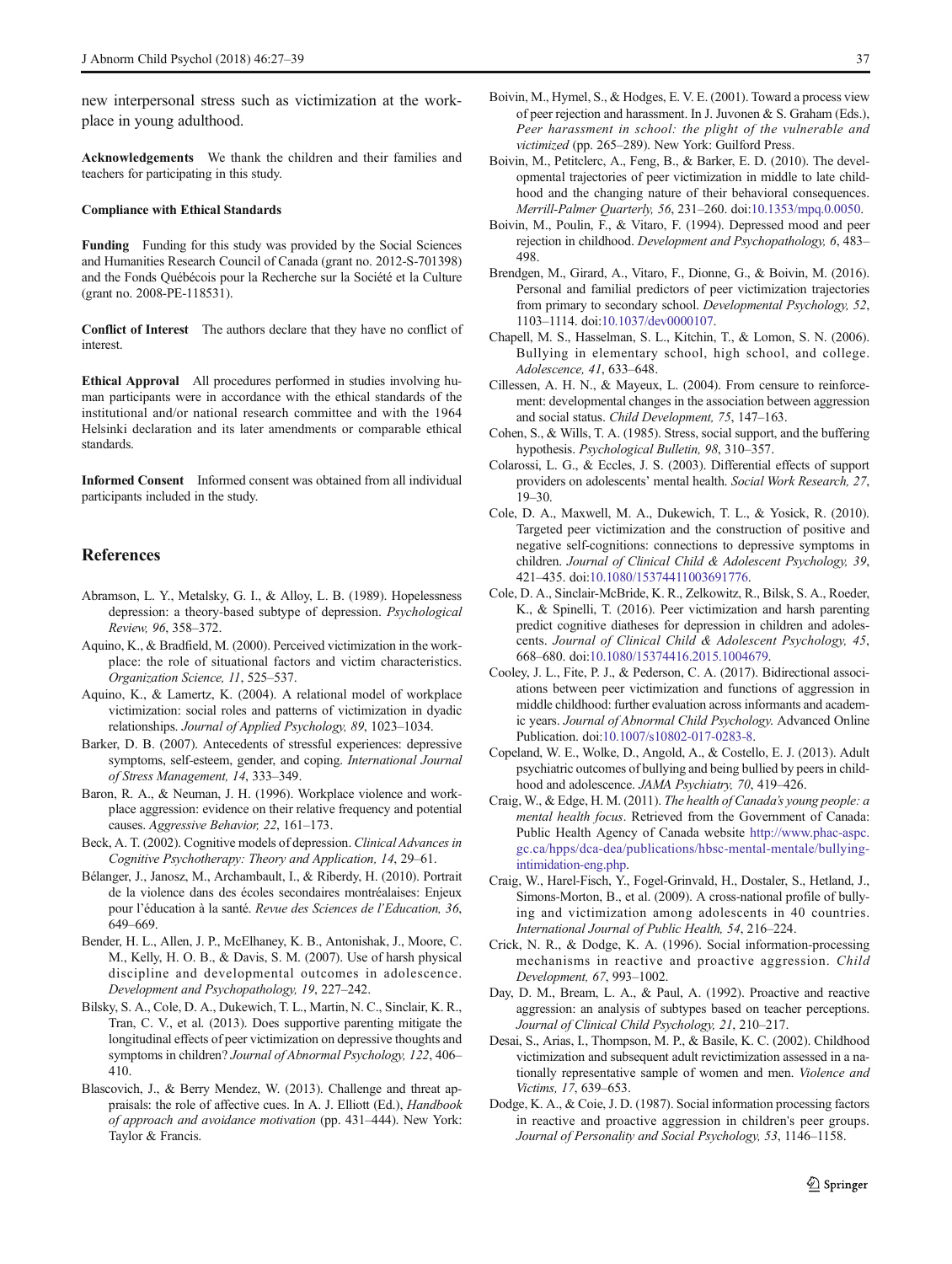<span id="page-10-0"></span>new interpersonal stress such as victimization at the workplace in young adulthood.

Acknowledgements We thank the children and their families and teachers for participating in this study.

#### Compliance with Ethical Standards

Funding Funding for this study was provided by the Social Sciences and Humanities Research Council of Canada (grant no. 2012-S-701398) and the Fonds Québécois pour la Recherche sur la Société et la Culture (grant no. 2008-PE-118531).

Conflict of Interest The authors declare that they have no conflict of **interest** 

Ethical Approval All procedures performed in studies involving human participants were in accordance with the ethical standards of the institutional and/or national research committee and with the 1964 Helsinki declaration and its later amendments or comparable ethical standards.

Informed Consent Informed consent was obtained from all individual participants included in the study.

## References

- Abramson, L. Y., Metalsky, G. I., & Alloy, L. B. (1989). Hopelessness depression: a theory-based subtype of depression. Psychological Review, 96, 358–372.
- Aquino, K., & Bradfield, M. (2000). Perceived victimization in the workplace: the role of situational factors and victim characteristics. Organization Science, 11, 525–537.
- Aquino, K., & Lamertz, K. (2004). A relational model of workplace victimization: social roles and patterns of victimization in dyadic relationships. Journal of Applied Psychology, 89, 1023–1034.
- Barker, D. B. (2007). Antecedents of stressful experiences: depressive symptoms, self-esteem, gender, and coping. International Journal of Stress Management, 14, 333–349.
- Baron, R. A., & Neuman, J. H. (1996). Workplace violence and workplace aggression: evidence on their relative frequency and potential causes. Aggressive Behavior, 22, 161–173.
- Beck, A. T. (2002). Cognitive models of depression. Clinical Advances in Cognitive Psychotherapy: Theory and Application, 14, 29–61.
- Bélanger, J., Janosz, M., Archambault, I., & Riberdy, H. (2010). Portrait de la violence dans des écoles secondaires montréalaises: Enjeux pour l'éducation à la santé. Revue des Sciences de l'Education, 36, 649–669.
- Bender, H. L., Allen, J. P., McElhaney, K. B., Antonishak, J., Moore, C. M., Kelly, H. O. B., & Davis, S. M. (2007). Use of harsh physical discipline and developmental outcomes in adolescence. Development and Psychopathology, 19, 227–242.
- Bilsky, S. A., Cole, D. A., Dukewich, T. L., Martin, N. C., Sinclair, K. R., Tran, C. V., et al. (2013). Does supportive parenting mitigate the longitudinal effects of peer victimization on depressive thoughts and symptoms in children? Journal of Abnormal Psychology, 122, 406-410.
- Blascovich, J., & Berry Mendez, W. (2013). Challenge and threat appraisals: the role of affective cues. In A. J. Elliott (Ed.), Handbook of approach and avoidance motivation (pp. 431–444). New York: Taylor & Francis.
- Boivin, M., Hymel, S., & Hodges, E. V. E. (2001). Toward a process view of peer rejection and harassment. In J. Juvonen & S. Graham (Eds.), Peer harassment in school: the plight of the vulnerable and victimized (pp. 265–289). New York: Guilford Press.
- Boivin, M., Petitclerc, A., Feng, B., & Barker, E. D. (2010). The developmental trajectories of peer victimization in middle to late childhood and the changing nature of their behavioral consequences. Merrill-Palmer Quarterly, 56, 231–260. doi[:10.1353/mpq.0.0050](http://dx.doi.org/10.1353/mpq.0.0050).
- Boivin, M., Poulin, F., & Vitaro, F. (1994). Depressed mood and peer rejection in childhood. Development and Psychopathology, 6, 483– 498.
- Brendgen, M., Girard, A., Vitaro, F., Dionne, G., & Boivin, M. (2016). Personal and familial predictors of peer victimization trajectories from primary to secondary school. Developmental Psychology, 52, 1103–1114. doi[:10.1037/dev0000107](http://dx.doi.org/10.1037/dev0000107).
- Chapell, M. S., Hasselman, S. L., Kitchin, T., & Lomon, S. N. (2006). Bullying in elementary school, high school, and college. Adolescence, 41, 633–648.
- Cillessen, A. H. N., & Mayeux, L. (2004). From censure to reinforcement: developmental changes in the association between aggression and social status. Child Development, 75, 147–163.
- Cohen, S., & Wills, T. A. (1985). Stress, social support, and the buffering hypothesis. Psychological Bulletin, 98, 310–357.
- Colarossi, L. G., & Eccles, J. S. (2003). Differential effects of support providers on adolescents' mental health. Social Work Research, 27, 19–30.
- Cole, D. A., Maxwell, M. A., Dukewich, T. L., & Yosick, R. (2010). Targeted peer victimization and the construction of positive and negative self-cognitions: connections to depressive symptoms in children. Journal of Clinical Child & Adolescent Psychology, 39, 421–435. doi[:10.1080/15374411003691776](http://dx.doi.org/10.1080/15374411003691776).
- Cole, D. A., Sinclair-McBride, K. R., Zelkowitz, R., Bilsk, S. A., Roeder, K., & Spinelli, T. (2016). Peer victimization and harsh parenting predict cognitive diatheses for depression in children and adolescents. Journal of Clinical Child & Adolescent Psychology, 45, 668–680. doi[:10.1080/15374416.2015.1004679.](http://dx.doi.org/10.1080/15374416.2015.1004679)
- Cooley, J. L., Fite, P. J., & Pederson, C. A. (2017). Bidirectional associations between peer victimization and functions of aggression in middle childhood: further evaluation across informants and academic years. Journal of Abnormal Child Psychology. Advanced Online Publication. doi[:10.1007/s10802-017-0283-8](http://dx.doi.org/10.1007/s10802-017-0283-8).
- Copeland, W. E., Wolke, D., Angold, A., & Costello, E. J. (2013). Adult psychiatric outcomes of bullying and being bullied by peers in childhood and adolescence. JAMA Psychiatry, 70, 419–426.
- Craig, W., & Edge, H. M. (2011). The health of Canada's young people: a mental health focus. Retrieved from the Government of Canada: Public Health Agency of Canada website [http://www.phac-aspc.](http://www.phac-aspc.gc.ca/hpps/dca-dea/publications/hbsc-mental-mentale/bullying-intimidation-eng.php) [gc.ca/hpps/dca-dea/publications/hbsc-mental-mentale/bullying](http://www.phac-aspc.gc.ca/hpps/dca-dea/publications/hbsc-mental-mentale/bullying-intimidation-eng.php)[intimidation-eng.php.](http://www.phac-aspc.gc.ca/hpps/dca-dea/publications/hbsc-mental-mentale/bullying-intimidation-eng.php)
- Craig, W., Harel-Fisch, Y., Fogel-Grinvald, H., Dostaler, S., Hetland, J., Simons-Morton, B., et al. (2009). A cross-national profile of bullying and victimization among adolescents in 40 countries. International Journal of Public Health, 54, 216–224.
- Crick, N. R., & Dodge, K. A. (1996). Social information-processing mechanisms in reactive and proactive aggression. Child Development, 67, 993–1002.
- Day, D. M., Bream, L. A., & Paul, A. (1992). Proactive and reactive aggression: an analysis of subtypes based on teacher perceptions. Journal of Clinical Child Psychology, 21, 210–217.
- Desai, S., Arias, I., Thompson, M. P., & Basile, K. C. (2002). Childhood victimization and subsequent adult revictimization assessed in a nationally representative sample of women and men. Violence and Victims, 17, 639–653.
- Dodge, K. A., & Coie, J. D. (1987). Social information processing factors in reactive and proactive aggression in children's peer groups. Journal of Personality and Social Psychology, 53, 1146–1158.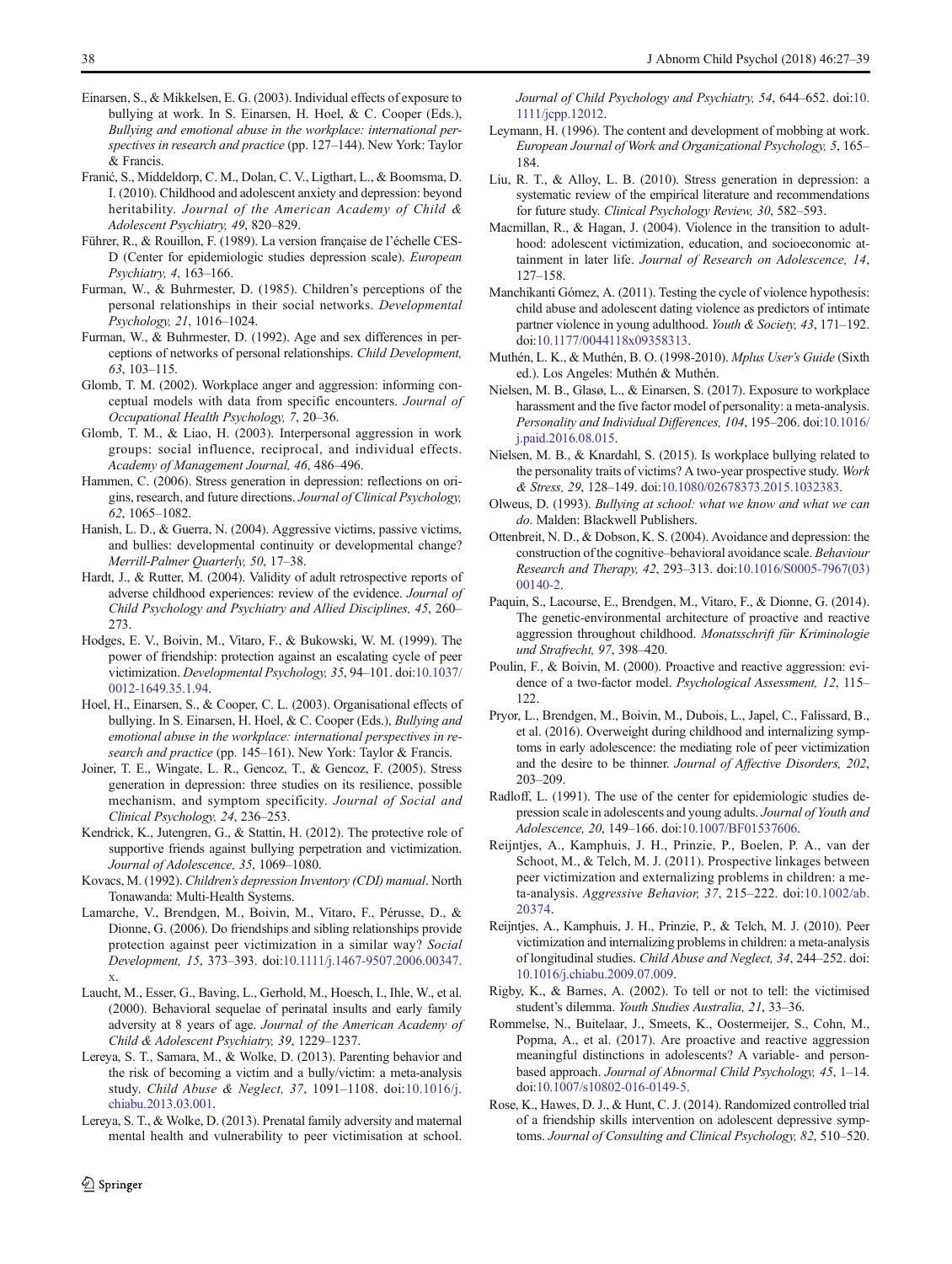- <span id="page-11-0"></span>Einarsen, S., & Mikkelsen, E. G. (2003). Individual effects of exposure to bullying at work. In S. Einarsen, H. Hoel, & C. Cooper (Eds.), Bullying and emotional abuse in the workplace: international perspectives in research and practice (pp. 127–144). New York: Taylor & Francis.
- Franić, S., Middeldorp, C. M., Dolan, C. V., Ligthart, L., & Boomsma, D. I. (2010). Childhood and adolescent anxiety and depression: beyond heritability. Journal of the American Academy of Child & Adolescent Psychiatry, 49, 820–829.
- Führer, R., & Rouillon, F. (1989). La version française de l'échelle CES-D (Center for epidemiologic studies depression scale). European Psychiatry, 4, 163–166.
- Furman, W., & Buhrmester, D. (1985). Children's perceptions of the personal relationships in their social networks. Developmental Psychology, 21, 1016–1024.
- Furman, W., & Buhrmester, D. (1992). Age and sex differences in perceptions of networks of personal relationships. Child Development, 63, 103–115.
- Glomb, T. M. (2002). Workplace anger and aggression: informing conceptual models with data from specific encounters. Journal of Occupational Health Psychology, 7, 20–36.
- Glomb, T. M., & Liao, H. (2003). Interpersonal aggression in work groups: social influence, reciprocal, and individual effects. Academy of Management Journal, 46, 486–496.
- Hammen, C. (2006). Stress generation in depression: reflections on origins, research, and future directions. Journal of Clinical Psychology, 62, 1065–1082.
- Hanish, L. D., & Guerra, N. (2004). Aggressive victims, passive victims, and bullies: developmental continuity or developmental change? Merrill-Palmer Quarterly, 50, 17–38.
- Hardt, J., & Rutter, M. (2004). Validity of adult retrospective reports of adverse childhood experiences: review of the evidence. Journal of Child Psychology and Psychiatry and Allied Disciplines, 45, 260– 273.
- Hodges, E. V., Boivin, M., Vitaro, F., & Bukowski, W. M. (1999). The power of friendship: protection against an escalating cycle of peer victimization. Developmental Psychology, 35, 94–101. doi[:10.1037/](http://dx.doi.org/10.1037/0012-1649.35.1.94) [0012-1649.35.1.94](http://dx.doi.org/10.1037/0012-1649.35.1.94).
- Hoel, H., Einarsen, S., & Cooper, C. L. (2003). Organisational effects of bullying. In S. Einarsen, H. Hoel, & C. Cooper (Eds.), Bullying and emotional abuse in the workplace: international perspectives in research and practice (pp. 145–161). New York: Taylor & Francis.
- Joiner, T. E., Wingate, L. R., Gencoz, T., & Gencoz, F. (2005). Stress generation in depression: three studies on its resilience, possible mechanism, and symptom specificity. Journal of Social and Clinical Psychology, 24, 236–253.
- Kendrick, K., Jutengren, G., & Stattin, H. (2012). The protective role of supportive friends against bullying perpetration and victimization. Journal of Adolescence, 35, 1069–1080.
- Kovacs, M. (1992). Children's depression Inventory (CDI) manual. North Tonawanda: Multi-Health Systems.
- Lamarche, V., Brendgen, M., Boivin, M., Vitaro, F., Pérusse, D., & Dionne, G. (2006). Do friendships and sibling relationships provide protection against peer victimization in a similar way? Social Development, 15, 373–393. doi[:10.1111/j.1467-9507.2006.00347.](http://dx.doi.org/10.1111/j.1467-9507.2006.00347.x) [x](http://dx.doi.org/10.1111/j.1467-9507.2006.00347.x).
- Laucht, M., Esser, G., Baving, L., Gerhold, M., Hoesch, I., Ihle, W., et al. (2000). Behavioral sequelae of perinatal insults and early family adversity at 8 years of age. Journal of the American Academy of Child & Adolescent Psychiatry, 39, 1229–1237.
- Lereya, S. T., Samara, M., & Wolke, D. (2013). Parenting behavior and the risk of becoming a victim and a bully/victim: a meta-analysis study. Child Abuse & Neglect, 37, 1091–1108. doi:[10.1016/j.](http://dx.doi.org/10.1016/j.chiabu.2013.03.001) [chiabu.2013.03.001](http://dx.doi.org/10.1016/j.chiabu.2013.03.001).
- Lereya, S. T., & Wolke, D. (2013). Prenatal family adversity and maternal mental health and vulnerability to peer victimisation at school.

Journal of Child Psychology and Psychiatry, 54, 644–652. doi[:10.](http://dx.doi.org/10.1111/jcpp.12012) [1111/jcpp.12012.](http://dx.doi.org/10.1111/jcpp.12012)

- Leymann, H. (1996). The content and development of mobbing at work. European Journal of Work and Organizational Psychology, 5, 165– 184.
- Liu, R. T., & Alloy, L. B. (2010). Stress generation in depression: a systematic review of the empirical literature and recommendations for future study. Clinical Psychology Review, 30, 582–593.
- Macmillan, R., & Hagan, J. (2004). Violence in the transition to adulthood: adolescent victimization, education, and socioeconomic attainment in later life. Journal of Research on Adolescence, 14, 127–158.
- Manchikanti Gómez, A. (2011). Testing the cycle of violence hypothesis: child abuse and adolescent dating violence as predictors of intimate partner violence in young adulthood. Youth & Society, 43, 171–192. doi:[10.1177/0044118x09358313](http://dx.doi.org/10.1177/0044118x09358313).
- Muthén, L. K., & Muthén, B. O. (1998-2010). Mplus User's Guide (Sixth ed.). Los Angeles: Muthén & Muthén.
- Nielsen, M. B., Glasø, L., & Einarsen, S. (2017). Exposure to workplace harassment and the five factor model of personality: a meta-analysis. Personality and Individual Differences, 104, 195–206. doi[:10.1016/](http://dx.doi.org/10.1016/j.paid.2016.08.015) [j.paid.2016.08.015.](http://dx.doi.org/10.1016/j.paid.2016.08.015)
- Nielsen, M. B., & Knardahl, S. (2015). Is workplace bullying related to the personality traits of victims? A two-year prospective study. Work & Stress, 29, 128–149. doi:[10.1080/02678373.2015.1032383](http://dx.doi.org/10.1080/02678373.2015.1032383).
- Olweus, D. (1993). Bullying at school: what we know and what we can do. Malden: Blackwell Publishers.
- Ottenbreit, N. D., & Dobson, K. S. (2004). Avoidance and depression: the construction of the cognitive–behavioral avoidance scale. Behaviour Research and Therapy, 42, 293–313. doi[:10.1016/S0005-7967\(03\)](http://dx.doi.org/10.1016/S0005-7967(03)00140-2) [00140-2.](http://dx.doi.org/10.1016/S0005-7967(03)00140-2)
- Paquin, S., Lacourse, E., Brendgen, M., Vitaro, F., & Dionne, G. (2014). The genetic-environmental architecture of proactive and reactive aggression throughout childhood. Monatsschrift für Kriminologie und Strafrecht, 97, 398–420.
- Poulin, F., & Boivin, M. (2000). Proactive and reactive aggression: evidence of a two-factor model. Psychological Assessment, 12, 115– 122.
- Pryor, L., Brendgen, M., Boivin, M., Dubois, L., Japel, C., Falissard, B., et al. (2016). Overweight during childhood and internalizing symptoms in early adolescence: the mediating role of peer victimization and the desire to be thinner. Journal of Affective Disorders, 202, 203–209.
- Radloff, L. (1991). The use of the center for epidemiologic studies depression scale in adolescents and young adults. Journal of Youth and Adolescence, 20, 149–166. doi:[10.1007/BF01537606.](http://dx.doi.org/10.1007/BF01537606)
- Reijntjes, A., Kamphuis, J. H., Prinzie, P., Boelen, P. A., van der Schoot, M., & Telch, M. J. (2011). Prospective linkages between peer victimization and externalizing problems in children: a meta-analysis. Aggressive Behavior, 37, 215–222. doi[:10.1002/ab.](http://dx.doi.org/10.1002/ab.20374) [20374.](http://dx.doi.org/10.1002/ab.20374)
- Reijntjes, A., Kamphuis, J. H., Prinzie, P., & Telch, M. J. (2010). Peer victimization and internalizing problems in children: a meta-analysis of longitudinal studies. Child Abuse and Neglect, 34, 244–252. doi: [10.1016/j.chiabu.2009.07.009](http://dx.doi.org/10.1016/j.chiabu.2009.07.009).
- Rigby, K., & Barnes, A. (2002). To tell or not to tell: the victimised student's dilemma. Youth Studies Australia, 21, 33–36.
- Rommelse, N., Buitelaar, J., Smeets, K., Oostermeijer, S., Cohn, M., Popma, A., et al. (2017). Are proactive and reactive aggression meaningful distinctions in adolescents? A variable- and personbased approach. Journal of Abnormal Child Psychology, 45, 1–14. doi:[10.1007/s10802-016-0149-5.](http://dx.doi.org/10.1007/s10802-016-0149-5)
- Rose, K., Hawes, D. J., & Hunt, C. J. (2014). Randomized controlled trial of a friendship skills intervention on adolescent depressive symptoms. Journal of Consulting and Clinical Psychology, 82, 510–520.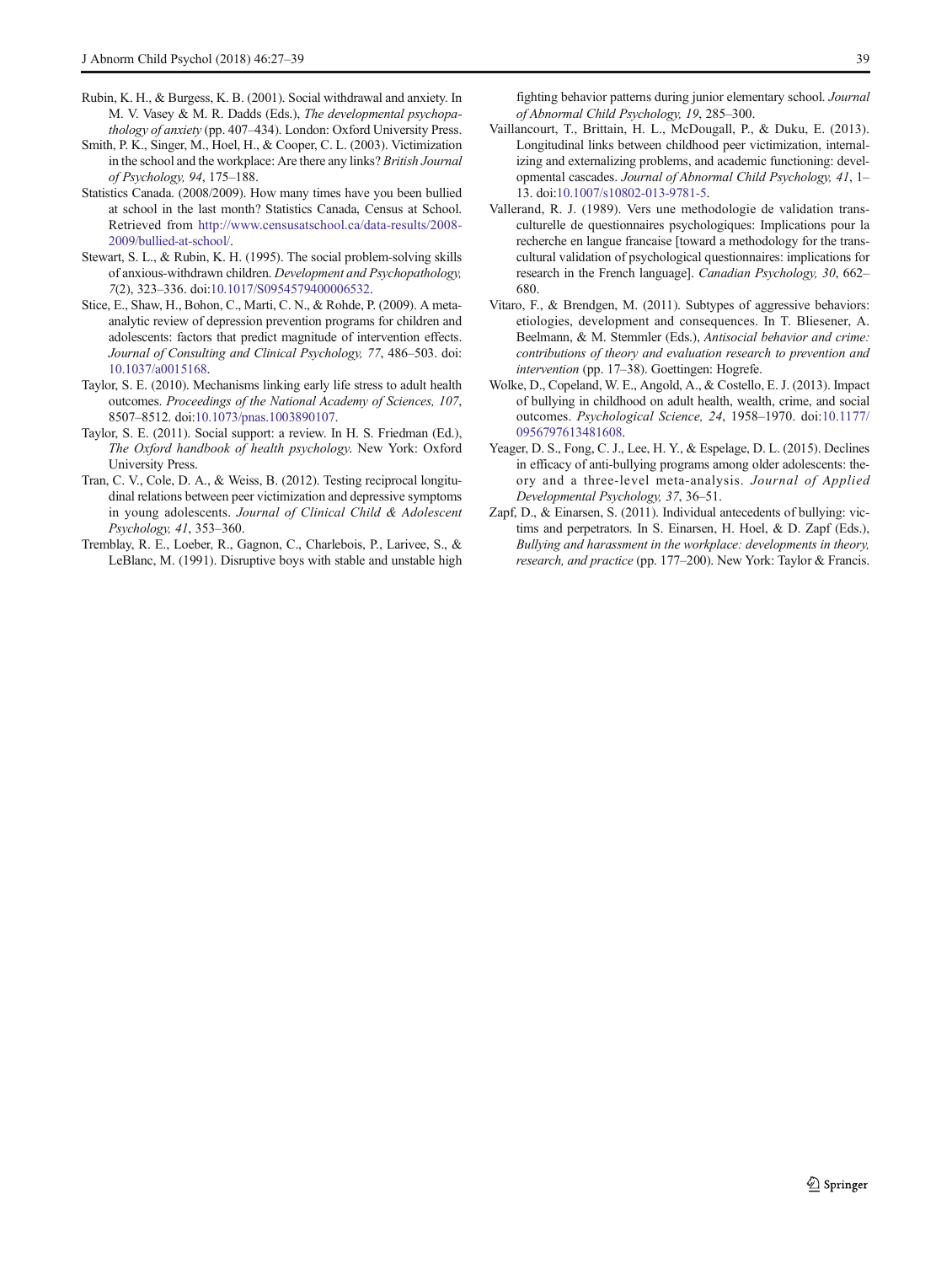- <span id="page-12-0"></span>Rubin, K. H., & Burgess, K. B. (2001). Social withdrawal and anxiety. In M. V. Vasey & M. R. Dadds (Eds.), The developmental psychopathology of anxiety (pp. 407–434). London: Oxford University Press.
- Smith, P. K., Singer, M., Hoel, H., & Cooper, C. L. (2003). Victimization in the school and the workplace: Are there any links? British Journal of Psychology, 94, 175–188.
- Statistics Canada. (2008/2009). How many times have you been bullied at school in the last month? Statistics Canada, Census at School. Retrieved from [http://www.censusatschool.ca/data-results/2008-](http://www.censusatschool.ca/data-results/2008-2009/bullied-at-school/) [2009/bullied-at-school/.](http://www.censusatschool.ca/data-results/2008-2009/bullied-at-school/)
- Stewart, S. L., & Rubin, K. H. (1995). The social problem-solving skills of anxious-withdrawn children. Development and Psychopathology, 7(2), 323–336. doi:[10.1017/S0954579400006532](http://dx.doi.org/10.1017/S0954579400006532).
- Stice, E., Shaw, H., Bohon, C., Marti, C. N., & Rohde, P. (2009). A metaanalytic review of depression prevention programs for children and adolescents: factors that predict magnitude of intervention effects. Journal of Consulting and Clinical Psychology, 77, 486–503. doi: [10.1037/a0015168.](http://dx.doi.org/10.1037/a0015168)
- Taylor, S. E. (2010). Mechanisms linking early life stress to adult health outcomes. Proceedings of the National Academy of Sciences, 107, 8507–8512. doi[:10.1073/pnas.1003890107.](http://dx.doi.org/10.1073/pnas.1003890107)
- Taylor, S. E. (2011). Social support: a review. In H. S. Friedman (Ed.), The Oxford handbook of health psychology. New York: Oxford University Press.
- Tran, C. V., Cole, D. A., & Weiss, B. (2012). Testing reciprocal longitudinal relations between peer victimization and depressive symptoms in young adolescents. Journal of Clinical Child & Adolescent Psychology, 41, 353–360.
- Tremblay, R. E., Loeber, R., Gagnon, C., Charlebois, P., Larivee, S., & LeBlanc, M. (1991). Disruptive boys with stable and unstable high

fighting behavior patterns during junior elementary school. Journal of Abnormal Child Psychology, 19, 285–300.

- Vaillancourt, T., Brittain, H. L., McDougall, P., & Duku, E. (2013). Longitudinal links between childhood peer victimization, internalizing and externalizing problems, and academic functioning: developmental cascades. Journal of Abnormal Child Psychology, 41, 1– 13. doi[:10.1007/s10802-013-9781-5](http://dx.doi.org/10.1007/s10802-013-9781-5).
- Vallerand, R. J. (1989). Vers une methodologie de validation transculturelle de questionnaires psychologiques: Implications pour la recherche en langue francaise [toward a methodology for the transcultural validation of psychological questionnaires: implications for research in the French language]. Canadian Psychology, 30, 662– 680.
- Vitaro, F., & Brendgen, M. (2011). Subtypes of aggressive behaviors: etiologies, development and consequences. In T. Bliesener, A. Beelmann, & M. Stemmler (Eds.), Antisocial behavior and crime: contributions of theory and evaluation research to prevention and intervention (pp. 17–38). Goettingen: Hogrefe.
- Wolke, D., Copeland, W. E., Angold, A., & Costello, E. J. (2013). Impact of bullying in childhood on adult health, wealth, crime, and social outcomes. Psychological Science, 24, 1958–1970. doi[:10.1177/](http://dx.doi.org/10.1177/0956797613481608) [0956797613481608](http://dx.doi.org/10.1177/0956797613481608).
- Yeager, D. S., Fong, C. J., Lee, H. Y., & Espelage, D. L. (2015). Declines in efficacy of anti-bullying programs among older adolescents: theory and a three-level meta-analysis. Journal of Applied Developmental Psychology, 37, 36–51.
- Zapf, D., & Einarsen, S. (2011). Individual antecedents of bullying: victims and perpetrators. In S. Einarsen, H. Hoel, & D. Zapf (Eds.), Bullying and harassment in the workplace: developments in theory, research, and practice (pp. 177–200). New York: Taylor & Francis.